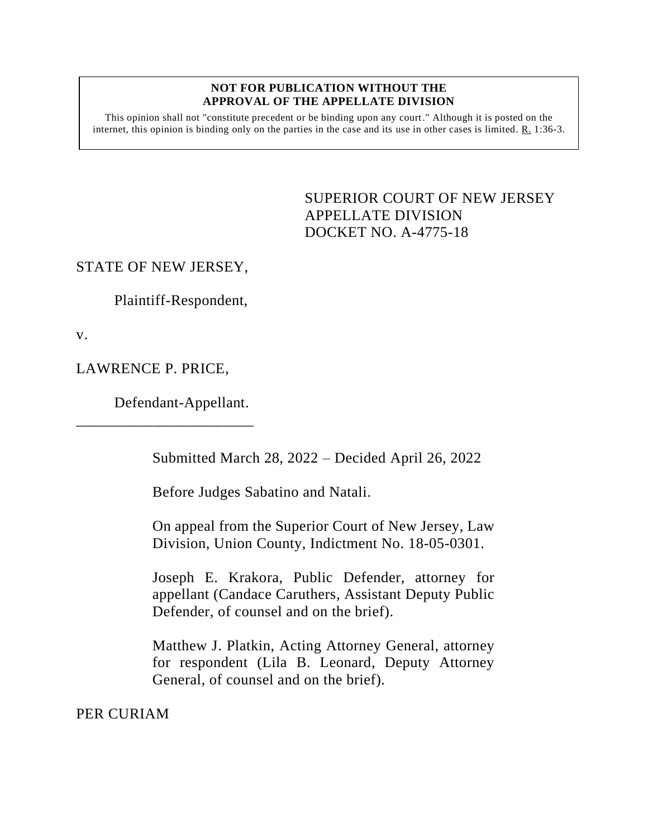#### **NOT FOR PUBLICATION WITHOUT THE APPROVAL OF THE APPELLATE DIVISION**

This opinion shall not "constitute precedent or be binding upon any court." Although it is posted on the internet, this opinion is binding only on the parties in the case and its use in other cases is limited. R. 1:36-3.

> <span id="page-0-0"></span>SUPERIOR COURT OF NEW JERSEY APPELLATE DIVISION DOCKET NO. A-4775-18

## STATE OF NEW JERSEY,

Plaintiff-Respondent,

v.

LAWRENCE P. PRICE,

Defendant-Appellant.

\_\_\_\_\_\_\_\_\_\_\_\_\_\_\_\_\_\_\_\_\_\_\_

Submitted March 28, 2022 – Decided April 26, 2022

Before Judges Sabatino and Natali.

On appeal from the Superior Court of New Jersey, Law Division, Union County, Indictment No. 18-05-0301.

Joseph E. Krakora, Public Defender, attorney for appellant (Candace Caruthers, Assistant Deputy Public Defender, of counsel and on the brief).

Matthew J. Platkin, Acting Attorney General, attorney for respondent (Lila B. Leonard, Deputy Attorney General, of counsel and on the brief).

PER CURIAM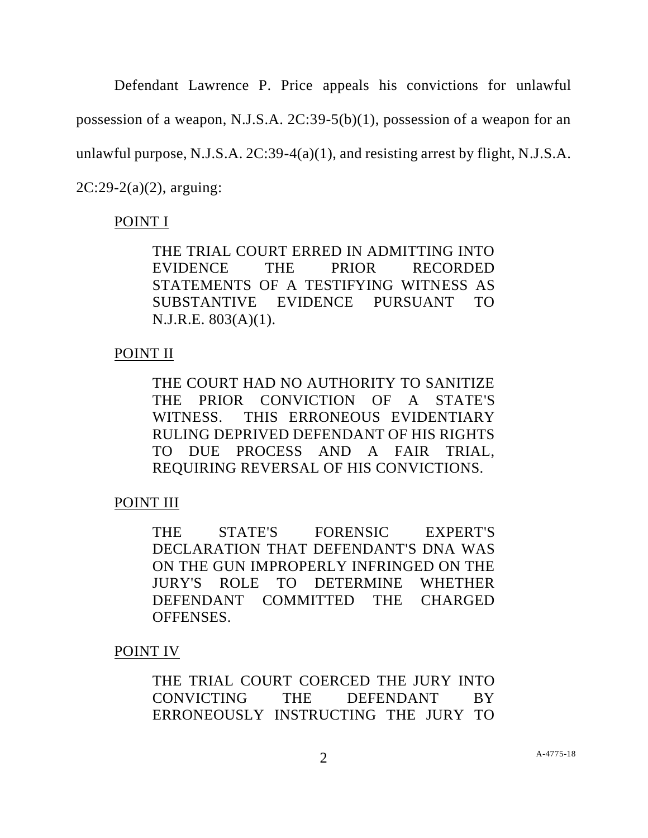Defendant Lawrence P. Price appeals his convictions for unlawful possession of a weapon, N.J.S.A. 2C:39-5(b)(1), possession of a weapon for an unlawful purpose, N.J.S.A. 2C:39-4(a)(1), and resisting arrest by flight, N.J.S.A. 2C:29-2(a)(2), arguing:

# POINT I

THE TRIAL COURT ERRED IN ADMITTING INTO EVIDENCE THE PRIOR RECORDED STATEMENTS OF A TESTIFYING WITNESS AS SUBSTANTIVE EVIDENCE PURSUANT TO N.J.R.E. 803(A)(1).

## POINT II

THE COURT HAD NO AUTHORITY TO SANITIZE THE PRIOR CONVICTION OF A STATE'S WITNESS. THIS ERRONEOUS EVIDENTIARY RULING DEPRIVED DEFENDANT OF HIS RIGHTS TO DUE PROCESS AND A FAIR TRIAL, REQUIRING REVERSAL OF HIS CONVICTIONS.

POINT III

THE STATE'S FORENSIC EXPERT'S DECLARATION THAT DEFENDANT'S DNA WAS ON THE GUN IMPROPERLY INFRINGED ON THE JURY'S ROLE TO DETERMINE WHETHER DEFENDANT COMMITTED THE CHARGED OFFENSES.

POINT IV

THE TRIAL COURT COERCED THE JURY INTO CONVICTING THE DEFENDANT BY ERRONEOUSLY INSTRUCTING THE JURY TO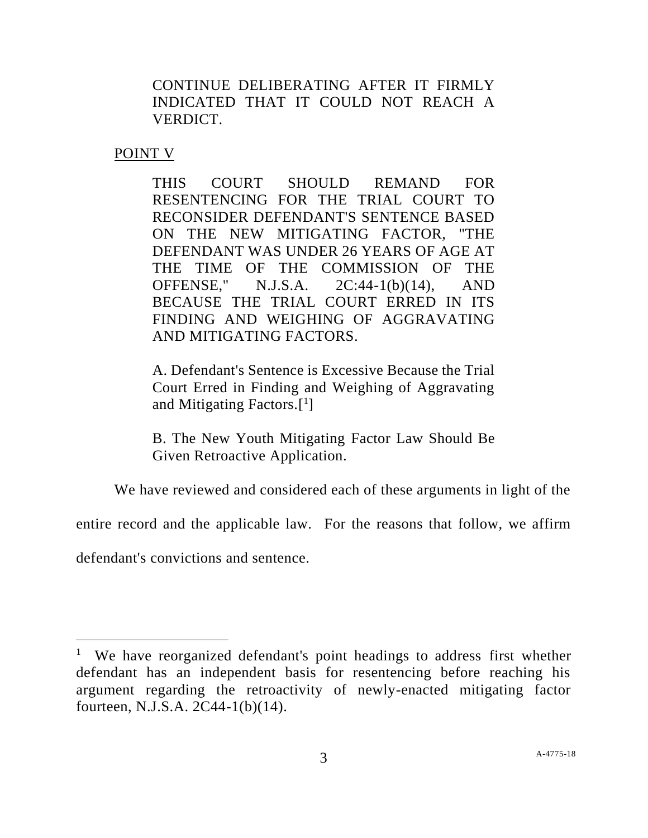CONTINUE DELIBERATING AFTER IT FIRMLY INDICATED THAT IT COULD NOT REACH A VERDICT.

POINT V

THIS COURT SHOULD REMAND FOR RESENTENCING FOR THE TRIAL COURT TO RECONSIDER DEFENDANT'S SENTENCE BASED ON THE NEW MITIGATING FACTOR, "THE DEFENDANT WAS UNDER 26 YEARS OF AGE AT THE TIME OF THE COMMISSION OF THE OFFENSE," N.J.S.A. 2C:44-1(b)(14), AND BECAUSE THE TRIAL COURT ERRED IN ITS FINDING AND WEIGHING OF AGGRAVATING AND MITIGATING FACTORS.

A. Defendant's Sentence is Excessive Because the Trial Court Erred in Finding and Weighing of Aggravating and Mitigating Factors.[ 1 ]

B. The New Youth Mitigating Factor Law Should Be Given Retroactive Application.

We have reviewed and considered each of these arguments in light of the

entire record and the applicable law. For the reasons that follow, we affirm

defendant's convictions and sentence.

<sup>&</sup>lt;sup>1</sup> We have reorganized defendant's point headings to address first whether defendant has an independent basis for resentencing before reaching his argument regarding the retroactivity of newly-enacted mitigating factor fourteen, N.J.S.A. 2C44-1(b)(14).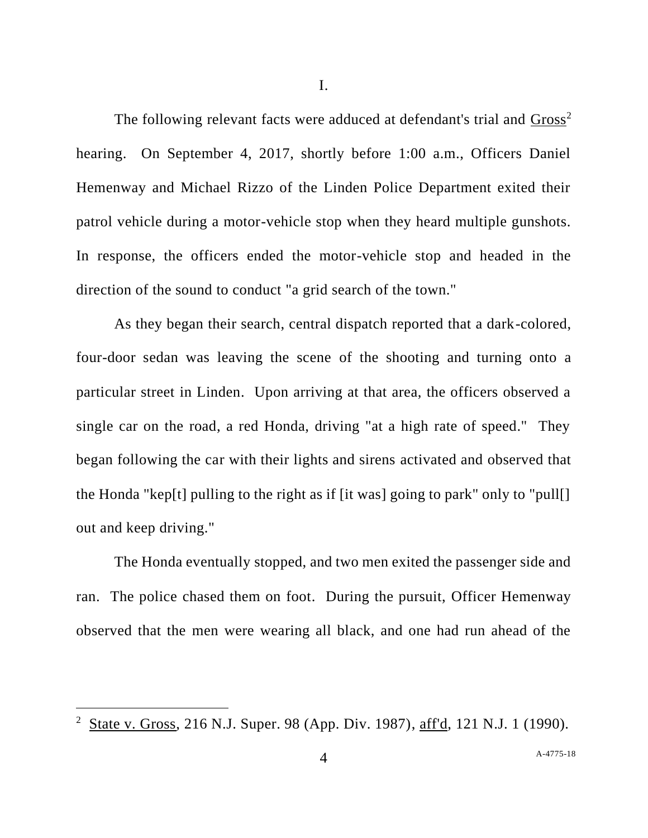I.

The following relevant facts were adduced at defendant's trial and Gross<sup>2</sup> hearing. On September 4, 2017, shortly before 1:00 a.m., Officers Daniel Hemenway and Michael Rizzo of the Linden Police Department exited their patrol vehicle during a motor-vehicle stop when they heard multiple gunshots. In response, the officers ended the motor-vehicle stop and headed in the direction of the sound to conduct "a grid search of the town."

As they began their search, central dispatch reported that a dark-colored, four-door sedan was leaving the scene of the shooting and turning onto a particular street in Linden. Upon arriving at that area, the officers observed a single car on the road, a red Honda, driving "at a high rate of speed." They began following the car with their lights and sirens activated and observed that the Honda "kep[t] pulling to the right as if [it was] going to park" only to "pull[] out and keep driving."

The Honda eventually stopped, and two men exited the passenger side and ran. The police chased them on foot. During the pursuit, Officer Hemenway observed that the men were wearing all black, and one had run ahead of the

<sup>2</sup> State v. Gross, 216 N.J. Super. 98 (App. Div. 1987), aff'd, 121 N.J. 1 (1990).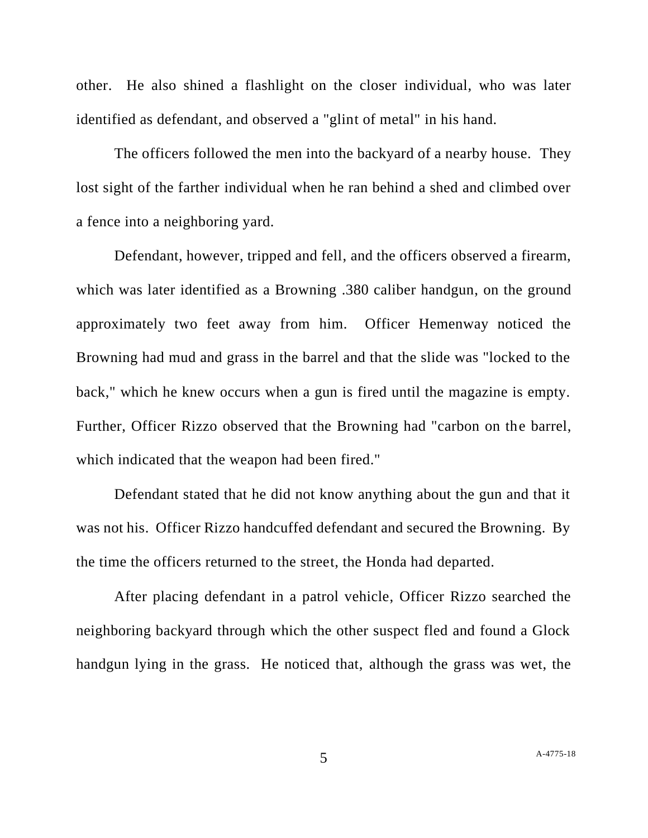other. He also shined a flashlight on the closer individual, who was later identified as defendant, and observed a "glint of metal" in his hand.

The officers followed the men into the backyard of a nearby house. They lost sight of the farther individual when he ran behind a shed and climbed over a fence into a neighboring yard.

Defendant, however, tripped and fell, and the officers observed a firearm, which was later identified as a Browning .380 caliber handgun, on the ground approximately two feet away from him. Officer Hemenway noticed the Browning had mud and grass in the barrel and that the slide was "locked to the back," which he knew occurs when a gun is fired until the magazine is empty. Further, Officer Rizzo observed that the Browning had "carbon on the barrel, which indicated that the weapon had been fired."

Defendant stated that he did not know anything about the gun and that it was not his. Officer Rizzo handcuffed defendant and secured the Browning. By the time the officers returned to the street, the Honda had departed.

After placing defendant in a patrol vehicle, Officer Rizzo searched the neighboring backyard through which the other suspect fled and found a Glock handgun lying in the grass. He noticed that, although the grass was wet, the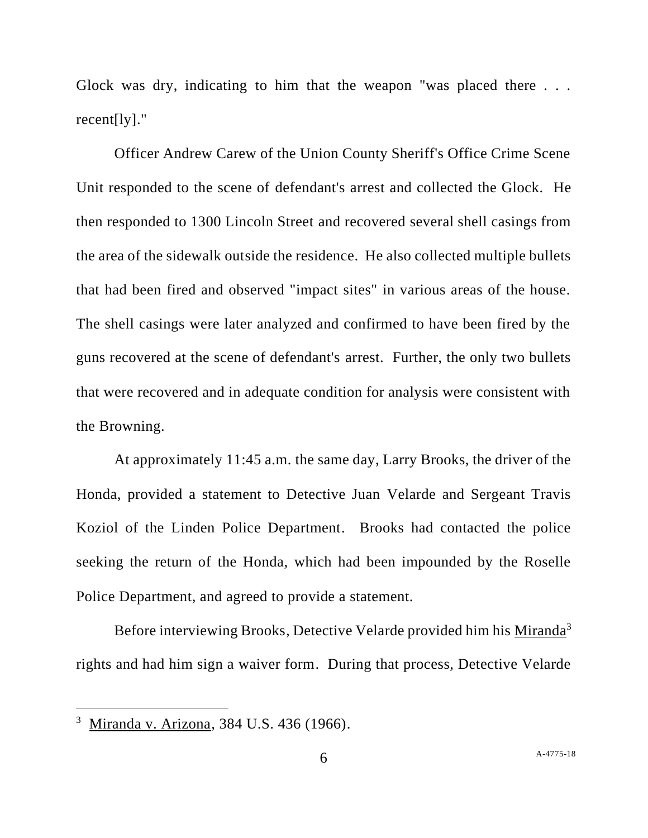Glock was dry, indicating to him that the weapon "was placed there . . . recent[ly]."

Officer Andrew Carew of the Union County Sheriff's Office Crime Scene Unit responded to the scene of defendant's arrest and collected the Glock. He then responded to 1300 Lincoln Street and recovered several shell casings from the area of the sidewalk outside the residence. He also collected multiple bullets that had been fired and observed "impact sites" in various areas of the house. The shell casings were later analyzed and confirmed to have been fired by the guns recovered at the scene of defendant's arrest. Further, the only two bullets that were recovered and in adequate condition for analysis were consistent with the Browning.

At approximately 11:45 a.m. the same day, Larry Brooks, the driver of the Honda, provided a statement to Detective Juan Velarde and Sergeant Travis Koziol of the Linden Police Department. Brooks had contacted the police seeking the return of the Honda, which had been impounded by the Roselle Police Department, and agreed to provide a statement.

Before interviewing Brooks, Detective Velarde provided him his Miranda<sup>3</sup> rights and had him sign a waiver form. During that process, Detective Velarde

<sup>&</sup>lt;sup>3</sup> Miranda v. Arizona, 384 U.S. 436 (1966).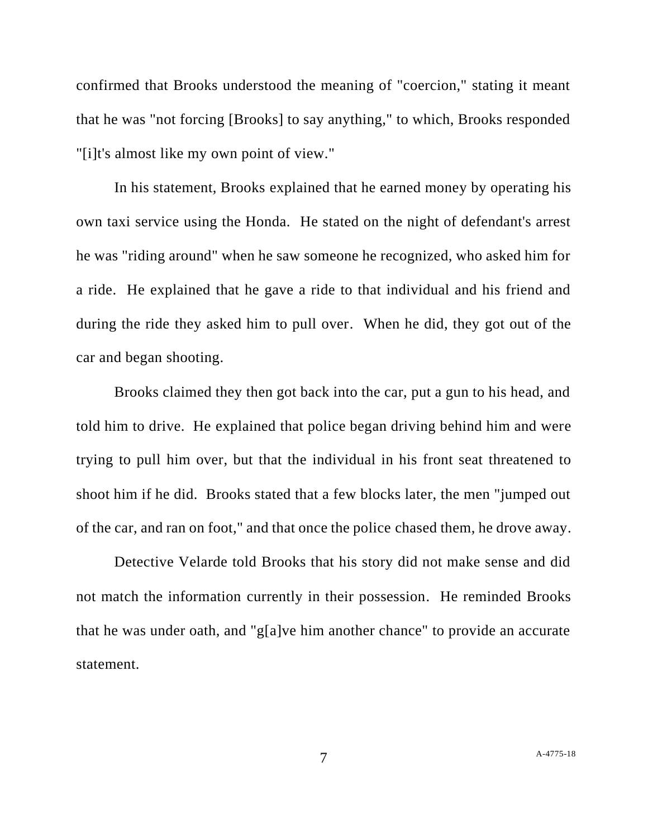confirmed that Brooks understood the meaning of "coercion," stating it meant that he was "not forcing [Brooks] to say anything," to which, Brooks responded "[i]t's almost like my own point of view."

In his statement, Brooks explained that he earned money by operating his own taxi service using the Honda. He stated on the night of defendant's arrest he was "riding around" when he saw someone he recognized, who asked him for a ride. He explained that he gave a ride to that individual and his friend and during the ride they asked him to pull over. When he did, they got out of the car and began shooting.

Brooks claimed they then got back into the car, put a gun to his head, and told him to drive. He explained that police began driving behind him and were trying to pull him over, but that the individual in his front seat threatened to shoot him if he did. Brooks stated that a few blocks later, the men "jumped out of the car, and ran on foot," and that once the police chased them, he drove away.

Detective Velarde told Brooks that his story did not make sense and did not match the information currently in their possession. He reminded Brooks that he was under oath, and "g[a]ve him another chance" to provide an accurate statement.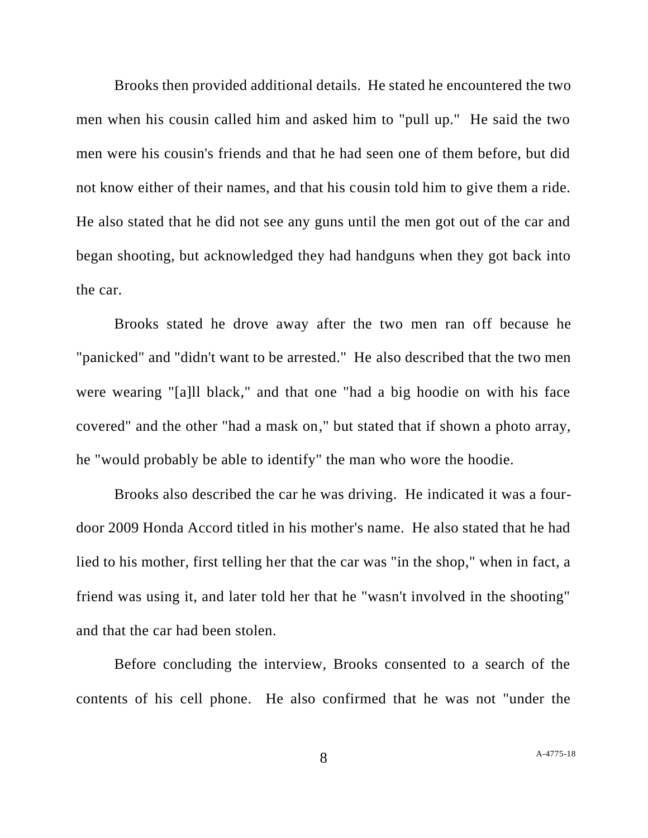Brooks then provided additional details. He stated he encountered the two men when his cousin called him and asked him to "pull up." He said the two men were his cousin's friends and that he had seen one of them before, but did not know either of their names, and that his cousin told him to give them a ride. He also stated that he did not see any guns until the men got out of the car and began shooting, but acknowledged they had handguns when they got back into the car.

Brooks stated he drove away after the two men ran off because he "panicked" and "didn't want to be arrested." He also described that the two men were wearing "[a]ll black," and that one "had a big hoodie on with his face covered" and the other "had a mask on," but stated that if shown a photo array, he "would probably be able to identify" the man who wore the hoodie.

Brooks also described the car he was driving. He indicated it was a fourdoor 2009 Honda Accord titled in his mother's name. He also stated that he had lied to his mother, first telling her that the car was "in the shop," when in fact, a friend was using it, and later told her that he "wasn't involved in the shooting" and that the car had been stolen.

Before concluding the interview, Brooks consented to a search of the contents of his cell phone. He also confirmed that he was not "under the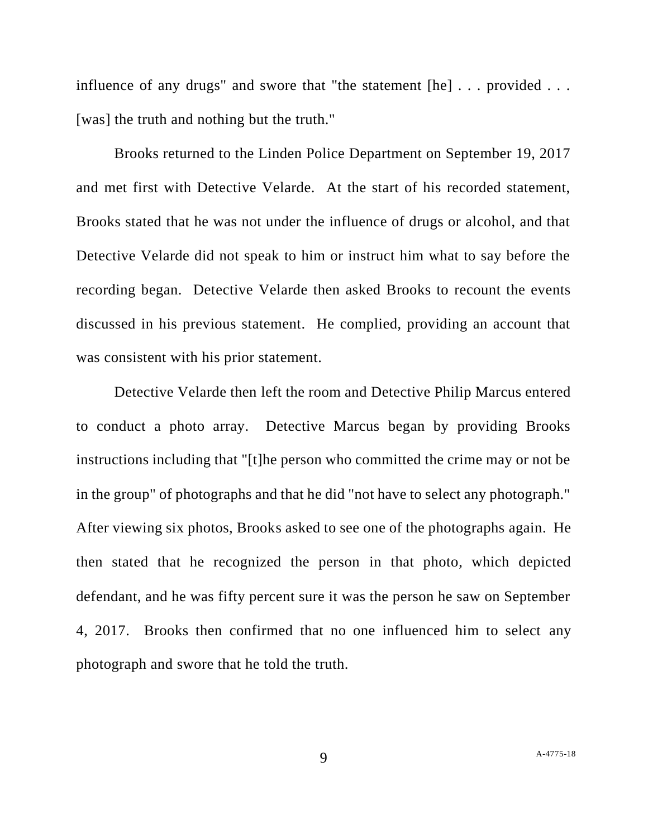influence of any drugs" and swore that "the statement [he] . . . provided . . . [was] the truth and nothing but the truth."

Brooks returned to the Linden Police Department on September 19, 2017 and met first with Detective Velarde. At the start of his recorded statement, Brooks stated that he was not under the influence of drugs or alcohol, and that Detective Velarde did not speak to him or instruct him what to say before the recording began. Detective Velarde then asked Brooks to recount the events discussed in his previous statement. He complied, providing an account that was consistent with his prior statement.

Detective Velarde then left the room and Detective Philip Marcus entered to conduct a photo array. Detective Marcus began by providing Brooks instructions including that "[t]he person who committed the crime may or not be in the group" of photographs and that he did "not have to select any photograph." After viewing six photos, Brooks asked to see one of the photographs again. He then stated that he recognized the person in that photo, which depicted defendant, and he was fifty percent sure it was the person he saw on September 4, 2017. Brooks then confirmed that no one influenced him to select any photograph and swore that he told the truth.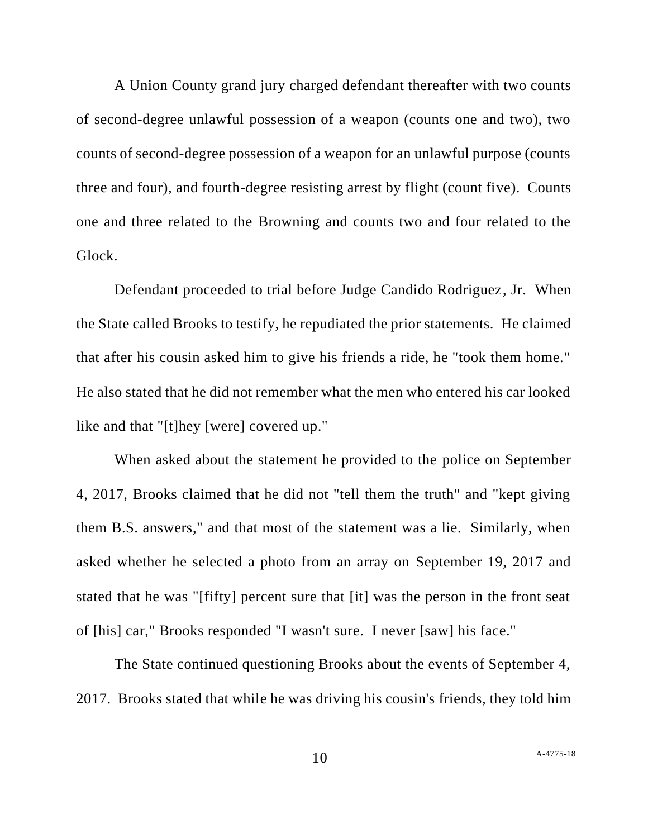A Union County grand jury charged defendant thereafter with two counts of second-degree unlawful possession of a weapon (counts one and two), two counts of second-degree possession of a weapon for an unlawful purpose (counts three and four), and fourth-degree resisting arrest by flight (count five). Counts one and three related to the Browning and counts two and four related to the Glock.

Defendant proceeded to trial before Judge Candido Rodriguez, Jr. When the State called Brooks to testify, he repudiated the prior statements. He claimed that after his cousin asked him to give his friends a ride, he "took them home." He also stated that he did not remember what the men who entered his car looked like and that "[t]hey [were] covered up."

When asked about the statement he provided to the police on September 4, 2017, Brooks claimed that he did not "tell them the truth" and "kept giving them B.S. answers," and that most of the statement was a lie. Similarly, when asked whether he selected a photo from an array on September 19, 2017 and stated that he was "[fifty] percent sure that [it] was the person in the front seat of [his] car," Brooks responded "I wasn't sure. I never [saw] his face."

The State continued questioning Brooks about the events of September 4, 2017. Brooks stated that while he was driving his cousin's friends, they told him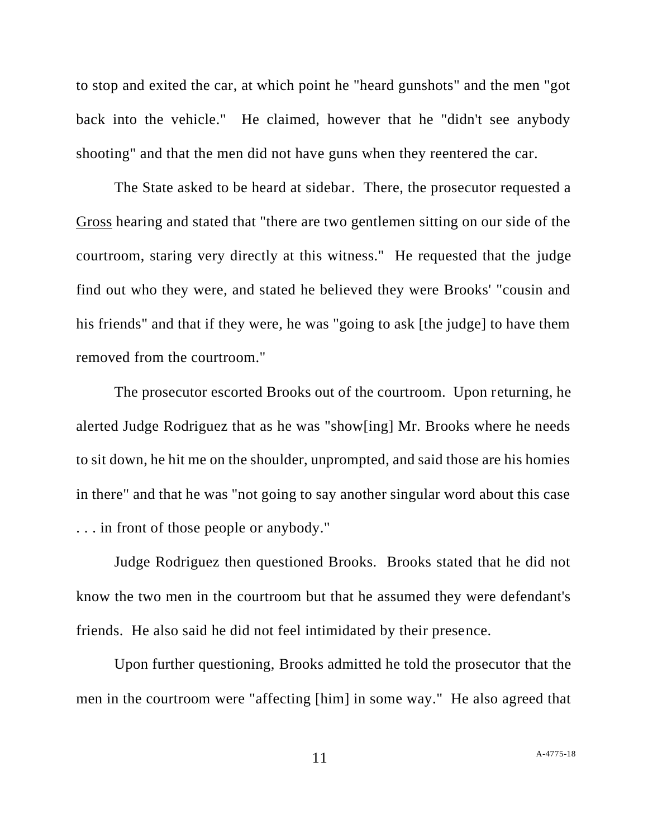to stop and exited the car, at which point he "heard gunshots" and the men "got back into the vehicle." He claimed, however that he "didn't see anybody shooting" and that the men did not have guns when they reentered the car.

The State asked to be heard at sidebar. There, the prosecutor requested a Gross hearing and stated that "there are two gentlemen sitting on our side of the courtroom, staring very directly at this witness." He requested that the judge find out who they were, and stated he believed they were Brooks' "cousin and his friends" and that if they were, he was "going to ask [the judge] to have them removed from the courtroom."

The prosecutor escorted Brooks out of the courtroom. Upon returning, he alerted Judge Rodriguez that as he was "show[ing] Mr. Brooks where he needs to sit down, he hit me on the shoulder, unprompted, and said those are his homies in there" and that he was "not going to say another singular word about this case . . . in front of those people or anybody."

Judge Rodriguez then questioned Brooks. Brooks stated that he did not know the two men in the courtroom but that he assumed they were defendant's friends. He also said he did not feel intimidated by their presence.

Upon further questioning, Brooks admitted he told the prosecutor that the men in the courtroom were "affecting [him] in some way." He also agreed that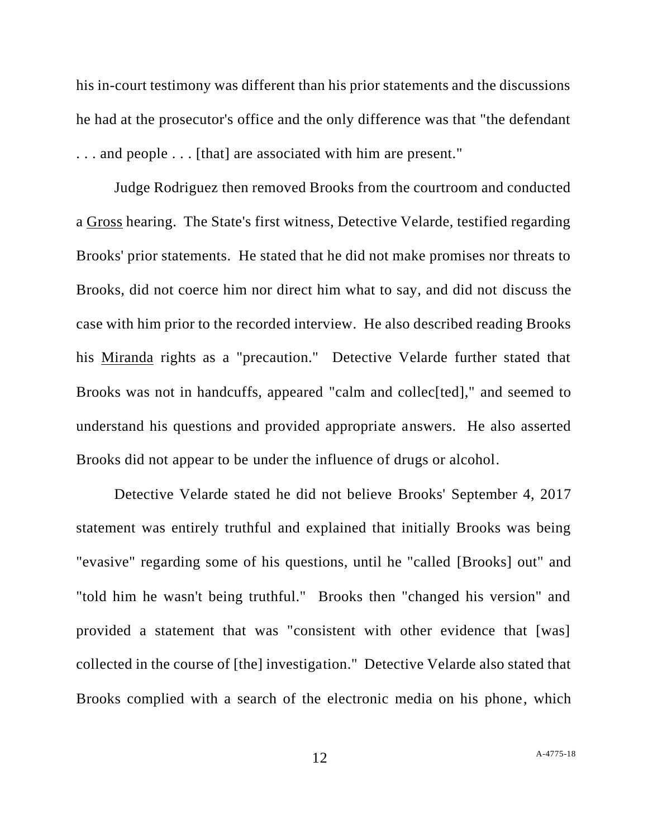his in-court testimony was different than his prior statements and the discussions he had at the prosecutor's office and the only difference was that "the defendant . . . and people . . . [that] are associated with him are present."

Judge Rodriguez then removed Brooks from the courtroom and conducted a Gross hearing. The State's first witness, Detective Velarde, testified regarding Brooks' prior statements. He stated that he did not make promises nor threats to Brooks, did not coerce him nor direct him what to say, and did not discuss the case with him prior to the recorded interview. He also described reading Brooks his Miranda rights as a "precaution." Detective Velarde further stated that Brooks was not in handcuffs, appeared "calm and collec<sup>[ted]</sup>," and seemed to understand his questions and provided appropriate answers. He also asserted Brooks did not appear to be under the influence of drugs or alcohol.

Detective Velarde stated he did not believe Brooks' September 4, 2017 statement was entirely truthful and explained that initially Brooks was being "evasive" regarding some of his questions, until he "called [Brooks] out" and "told him he wasn't being truthful." Brooks then "changed his version" and provided a statement that was "consistent with other evidence that [was] collected in the course of [the] investigation." Detective Velarde also stated that Brooks complied with a search of the electronic media on his phone, which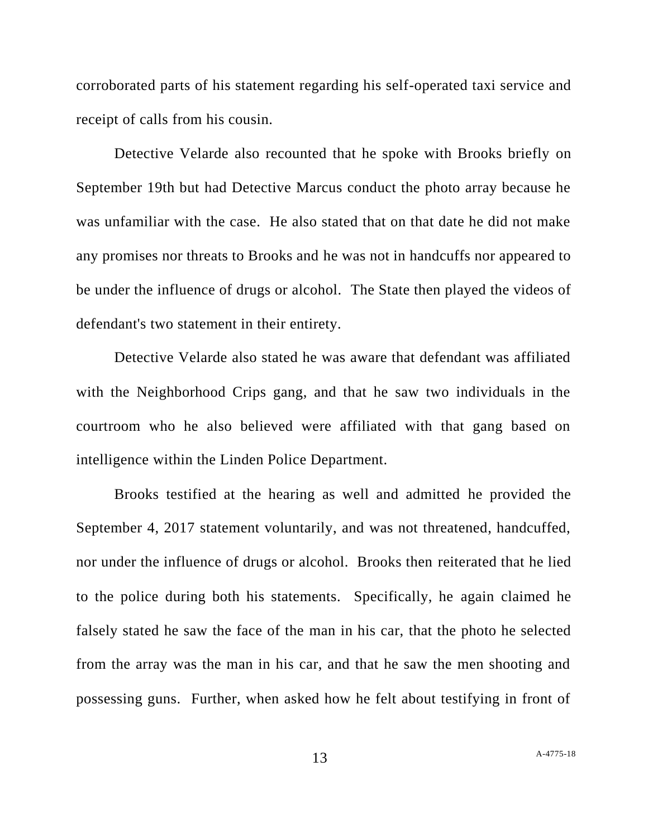corroborated parts of his statement regarding his self-operated taxi service and receipt of calls from his cousin.

Detective Velarde also recounted that he spoke with Brooks briefly on September 19th but had Detective Marcus conduct the photo array because he was unfamiliar with the case. He also stated that on that date he did not make any promises nor threats to Brooks and he was not in handcuffs nor appeared to be under the influence of drugs or alcohol. The State then played the videos of defendant's two statement in their entirety.

Detective Velarde also stated he was aware that defendant was affiliated with the Neighborhood Crips gang, and that he saw two individuals in the courtroom who he also believed were affiliated with that gang based on intelligence within the Linden Police Department.

Brooks testified at the hearing as well and admitted he provided the September 4, 2017 statement voluntarily, and was not threatened, handcuffed, nor under the influence of drugs or alcohol. Brooks then reiterated that he lied to the police during both his statements. Specifically, he again claimed he falsely stated he saw the face of the man in his car, that the photo he selected from the array was the man in his car, and that he saw the men shooting and possessing guns. Further, when asked how he felt about testifying in front of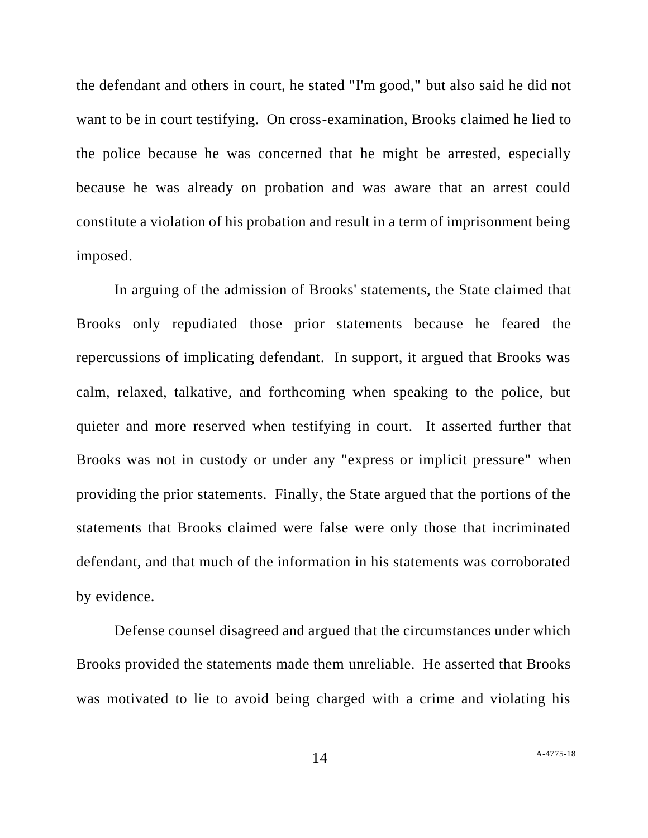the defendant and others in court, he stated "I'm good," but also said he did not want to be in court testifying. On cross-examination, Brooks claimed he lied to the police because he was concerned that he might be arrested, especially because he was already on probation and was aware that an arrest could constitute a violation of his probation and result in a term of imprisonment being imposed.

In arguing of the admission of Brooks' statements, the State claimed that Brooks only repudiated those prior statements because he feared the repercussions of implicating defendant. In support, it argued that Brooks was calm, relaxed, talkative, and forthcoming when speaking to the police, but quieter and more reserved when testifying in court. It asserted further that Brooks was not in custody or under any "express or implicit pressure" when providing the prior statements. Finally, the State argued that the portions of the statements that Brooks claimed were false were only those that incriminated defendant, and that much of the information in his statements was corroborated by evidence.

Defense counsel disagreed and argued that the circumstances under which Brooks provided the statements made them unreliable. He asserted that Brooks was motivated to lie to avoid being charged with a crime and violating his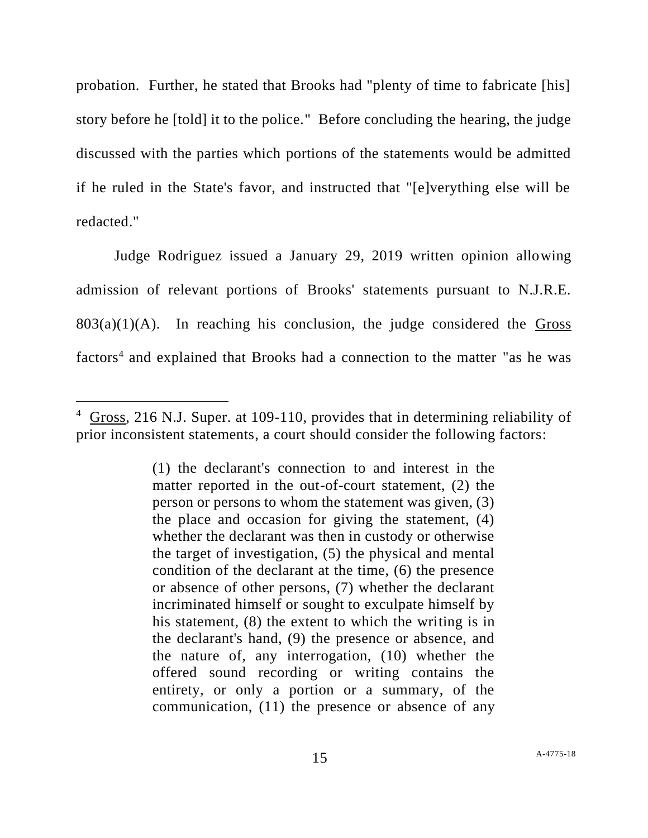probation. Further, he stated that Brooks had "plenty of time to fabricate [his] story before he [told] it to the police." Before concluding the hearing, the judge discussed with the parties which portions of the statements would be admitted if he ruled in the State's favor, and instructed that "[e]verything else will be redacted."

Judge Rodriguez issued a January 29, 2019 written opinion allowing admission of relevant portions of Brooks' statements pursuant to N.J.R.E.  $803(a)(1)(A)$ . In reaching his conclusion, the judge considered the Gross factors<sup>4</sup> and explained that Brooks had a connection to the matter "as he was

<sup>4</sup> Gross, 216 N.J. Super. at 109-110, provides that in determining reliability of prior inconsistent statements, a court should consider the following factors:

<sup>(1)</sup> the declarant's connection to and interest in the matter reported in the out-of-court statement, (2) the person or persons to whom the statement was given, (3) the place and occasion for giving the statement, (4) whether the declarant was then in custody or otherwise the target of investigation, (5) the physical and mental condition of the declarant at the time, (6) the presence or absence of other persons, (7) whether the declarant incriminated himself or sought to exculpate himself by his statement, (8) the extent to which the writing is in the declarant's hand, (9) the presence or absence, and the nature of, any interrogation, (10) whether the offered sound recording or writing contains the entirety, or only a portion or a summary, of the communication, (11) the presence or absence of any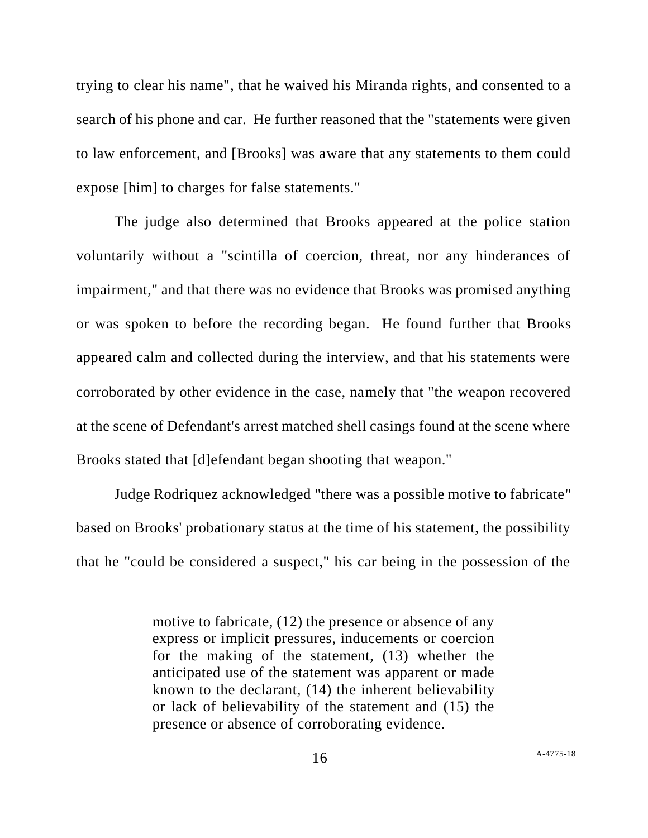trying to clear his name", that he waived his Miranda rights, and consented to a search of his phone and car. He further reasoned that the "statements were given to law enforcement, and [Brooks] was aware that any statements to them could expose [him] to charges for false statements."

The judge also determined that Brooks appeared at the police station voluntarily without a "scintilla of coercion, threat, nor any hinderances of impairment," and that there was no evidence that Brooks was promised anything or was spoken to before the recording began. He found further that Brooks appeared calm and collected during the interview, and that his statements were corroborated by other evidence in the case, namely that "the weapon recovered at the scene of Defendant's arrest matched shell casings found at the scene where Brooks stated that [d]efendant began shooting that weapon."

Judge Rodriquez acknowledged "there was a possible motive to fabricate" based on Brooks' probationary status at the time of his statement, the possibility that he "could be considered a suspect," his car being in the possession of the

motive to fabricate, (12) the presence or absence of any express or implicit pressures, inducements or coercion for the making of the statement, (13) whether the anticipated use of the statement was apparent or made known to the declarant, (14) the inherent believability or lack of believability of the statement and (15) the presence or absence of corroborating evidence.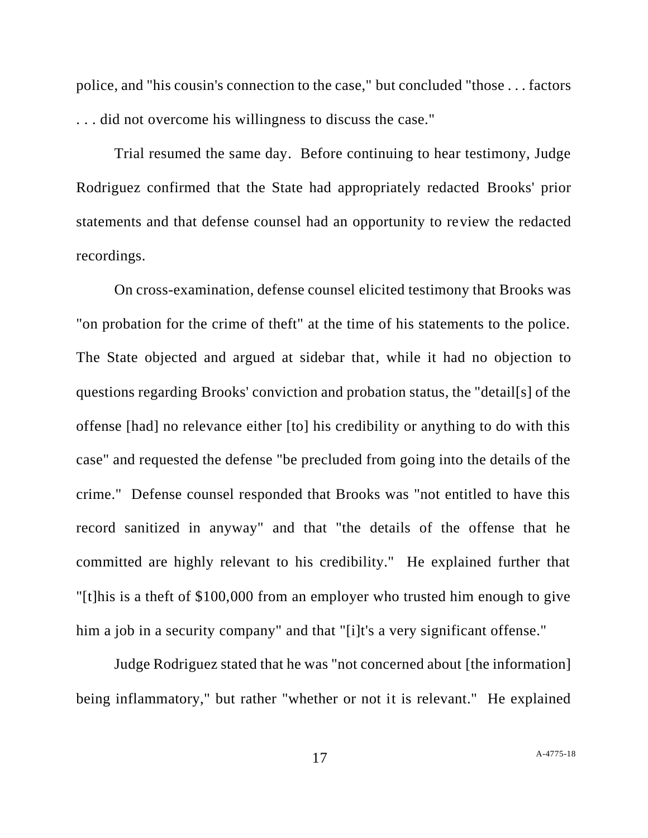police, and "his cousin's connection to the case," but concluded "those . . . factors . . . did not overcome his willingness to discuss the case."

Trial resumed the same day. Before continuing to hear testimony, Judge Rodriguez confirmed that the State had appropriately redacted Brooks' prior statements and that defense counsel had an opportunity to review the redacted recordings.

On cross-examination, defense counsel elicited testimony that Brooks was "on probation for the crime of theft" at the time of his statements to the police. The State objected and argued at sidebar that, while it had no objection to questions regarding Brooks' conviction and probation status, the "detail[s] of the offense [had] no relevance either [to] his credibility or anything to do with this case" and requested the defense "be precluded from going into the details of the crime." Defense counsel responded that Brooks was "not entitled to have this record sanitized in anyway" and that "the details of the offense that he committed are highly relevant to his credibility." He explained further that "[t]his is a theft of \$100,000 from an employer who trusted him enough to give him a job in a security company" and that "[i]t's a very significant offense."

Judge Rodriguez stated that he was "not concerned about [the information] being inflammatory," but rather "whether or not it is relevant." He explained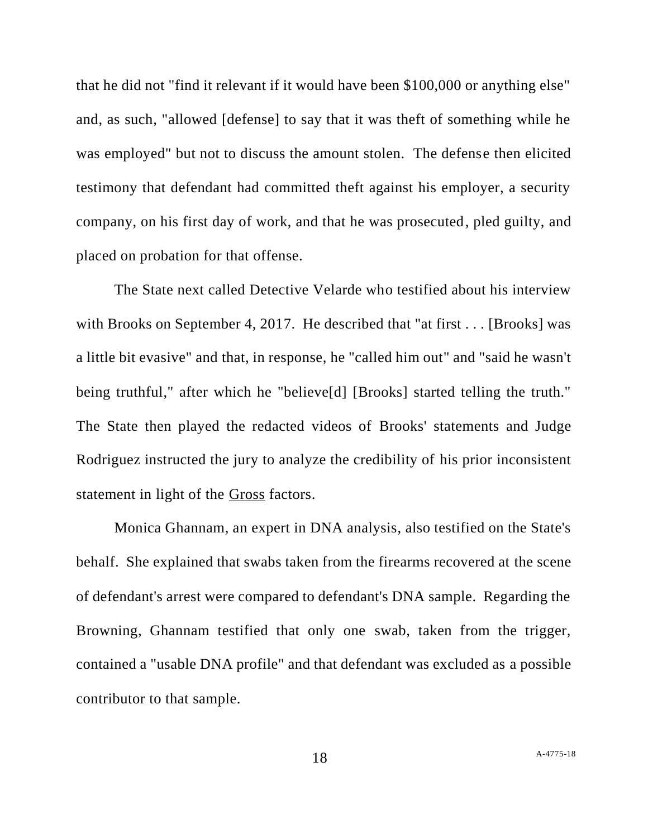that he did not "find it relevant if it would have been \$100,000 or anything else" and, as such, "allowed [defense] to say that it was theft of something while he was employed" but not to discuss the amount stolen. The defense then elicited testimony that defendant had committed theft against his employer, a security company, on his first day of work, and that he was prosecuted, pled guilty, and placed on probation for that offense.

The State next called Detective Velarde who testified about his interview with Brooks on September 4, 2017. He described that "at first . . . [Brooks] was a little bit evasive" and that, in response, he "called him out" and "said he wasn't being truthful," after which he "believe[d] [Brooks] started telling the truth." The State then played the redacted videos of Brooks' statements and Judge Rodriguez instructed the jury to analyze the credibility of his prior inconsistent statement in light of the Gross factors.

Monica Ghannam, an expert in DNA analysis, also testified on the State's behalf. She explained that swabs taken from the firearms recovered at the scene of defendant's arrest were compared to defendant's DNA sample. Regarding the Browning, Ghannam testified that only one swab, taken from the trigger, contained a "usable DNA profile" and that defendant was excluded as a possible contributor to that sample.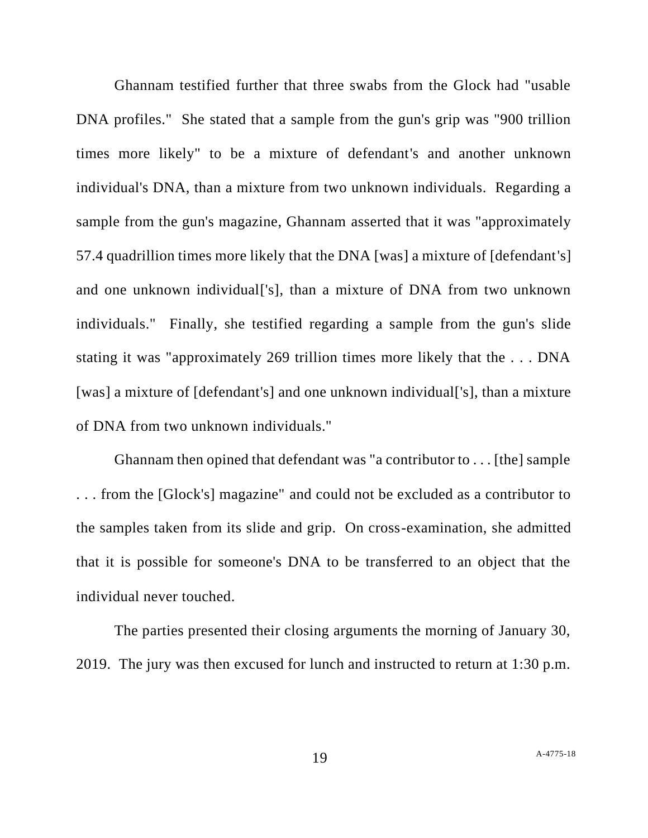Ghannam testified further that three swabs from the Glock had "usable DNA profiles." She stated that a sample from the gun's grip was "900 trillion times more likely" to be a mixture of defendant's and another unknown individual's DNA, than a mixture from two unknown individuals. Regarding a sample from the gun's magazine, Ghannam asserted that it was "approximately 57.4 quadrillion times more likely that the DNA [was] a mixture of [defendant's] and one unknown individual['s], than a mixture of DNA from two unknown individuals." Finally, she testified regarding a sample from the gun's slide stating it was "approximately 269 trillion times more likely that the . . . DNA [was] a mixture of [defendant's] and one unknown individual['s], than a mixture of DNA from two unknown individuals."

Ghannam then opined that defendant was "a contributor to . . . [the] sample . . . from the [Glock's] magazine" and could not be excluded as a contributor to the samples taken from its slide and grip. On cross-examination, she admitted that it is possible for someone's DNA to be transferred to an object that the individual never touched.

The parties presented their closing arguments the morning of January 30, 2019. The jury was then excused for lunch and instructed to return at 1:30 p.m.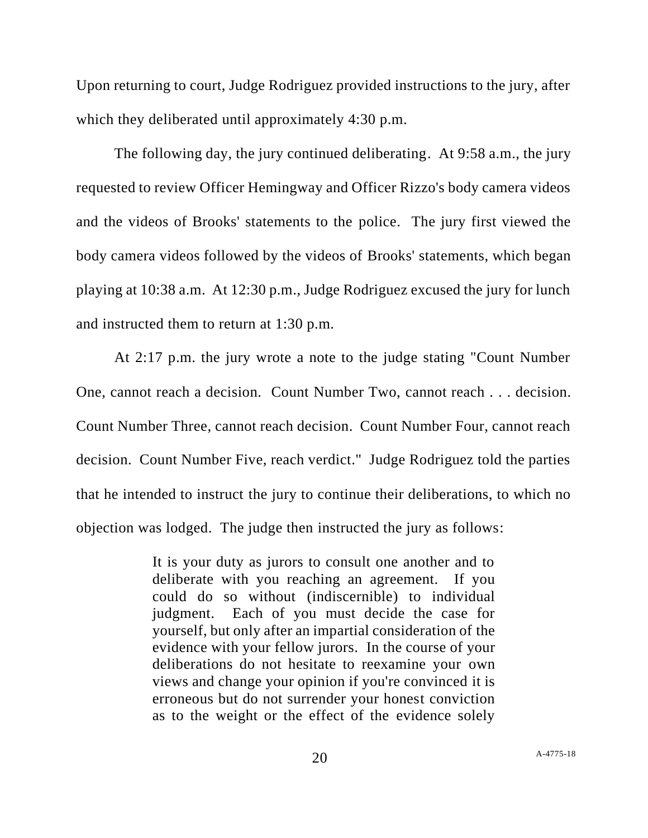Upon returning to court, Judge Rodriguez provided instructions to the jury, after which they deliberated until approximately 4:30 p.m.

The following day, the jury continued deliberating. At 9:58 a.m., the jury requested to review Officer Hemingway and Officer Rizzo's body camera videos and the videos of Brooks' statements to the police. The jury first viewed the body camera videos followed by the videos of Brooks' statements, which began playing at 10:38 a.m. At 12:30 p.m., Judge Rodriguez excused the jury for lunch and instructed them to return at 1:30 p.m.

At 2:17 p.m. the jury wrote a note to the judge stating "Count Number One, cannot reach a decision. Count Number Two, cannot reach . . . decision. Count Number Three, cannot reach decision. Count Number Four, cannot reach decision. Count Number Five, reach verdict." Judge Rodriguez told the parties that he intended to instruct the jury to continue their deliberations, to which no objection was lodged. The judge then instructed the jury as follows:

> It is your duty as jurors to consult one another and to deliberate with you reaching an agreement. If you could do so without (indiscernible) to individual judgment. Each of you must decide the case for yourself, but only after an impartial consideration of the evidence with your fellow jurors. In the course of your deliberations do not hesitate to reexamine your own views and change your opinion if you're convinced it is erroneous but do not surrender your honest conviction as to the weight or the effect of the evidence solely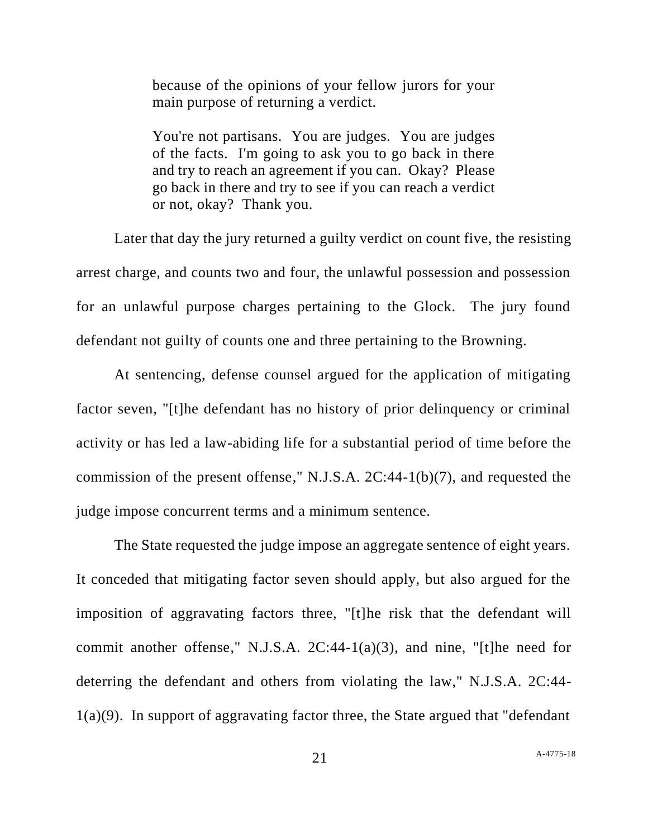because of the opinions of your fellow jurors for your main purpose of returning a verdict.

You're not partisans. You are judges. You are judges of the facts. I'm going to ask you to go back in there and try to reach an agreement if you can. Okay? Please go back in there and try to see if you can reach a verdict or not, okay? Thank you.

Later that day the jury returned a guilty verdict on count five, the resisting arrest charge, and counts two and four, the unlawful possession and possession for an unlawful purpose charges pertaining to the Glock. The jury found defendant not guilty of counts one and three pertaining to the Browning.

At sentencing, defense counsel argued for the application of mitigating factor seven, "[t]he defendant has no history of prior delinquency or criminal activity or has led a law-abiding life for a substantial period of time before the commission of the present offense," N.J.S.A. 2C:44-1(b)(7), and requested the judge impose concurrent terms and a minimum sentence.

The State requested the judge impose an aggregate sentence of eight years. It conceded that mitigating factor seven should apply, but also argued for the imposition of aggravating factors three, "[t]he risk that the defendant will commit another offense," N.J.S.A.  $2C:44-1(a)(3)$ , and nine, "[t]he need for deterring the defendant and others from violating the law," N.J.S.A. 2C:44- 1(a)(9). In support of aggravating factor three, the State argued that "defendant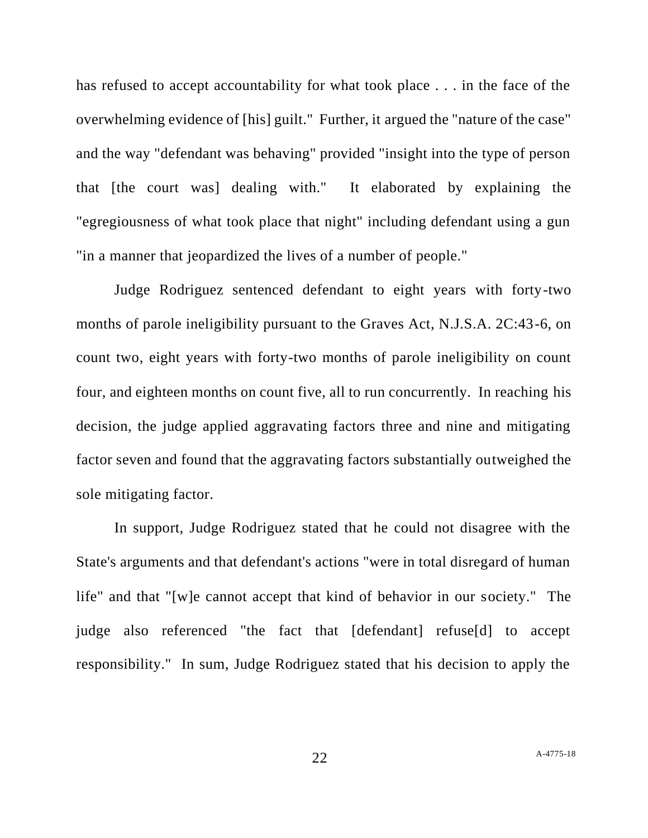has refused to accept accountability for what took place . . . in the face of the overwhelming evidence of [his] guilt." Further, it argued the "nature of the case" and the way "defendant was behaving" provided "insight into the type of person that [the court was] dealing with." It elaborated by explaining the "egregiousness of what took place that night" including defendant using a gun "in a manner that jeopardized the lives of a number of people."

Judge Rodriguez sentenced defendant to eight years with forty-two months of parole ineligibility pursuant to the Graves Act, N.J.S.A. 2C:43-6, on count two, eight years with forty-two months of parole ineligibility on count four, and eighteen months on count five, all to run concurrently. In reaching his decision, the judge applied aggravating factors three and nine and mitigating factor seven and found that the aggravating factors substantially outweighed the sole mitigating factor.

In support, Judge Rodriguez stated that he could not disagree with the State's arguments and that defendant's actions "were in total disregard of human life" and that "[w]e cannot accept that kind of behavior in our society." The judge also referenced "the fact that [defendant] refuse[d] to accept responsibility." In sum, Judge Rodriguez stated that his decision to apply the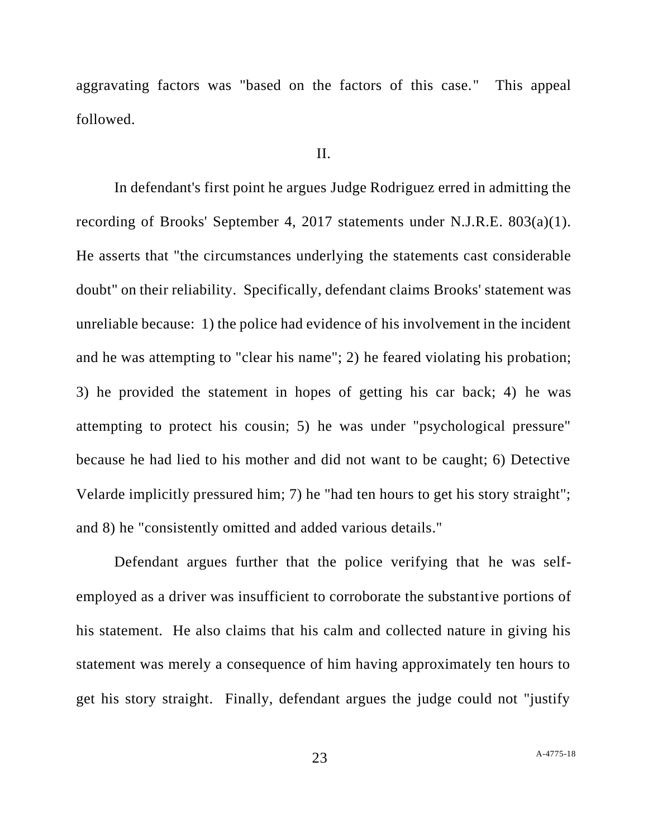aggravating factors was "based on the factors of this case." This appeal followed.

#### II.

In defendant's first point he argues Judge Rodriguez erred in admitting the recording of Brooks' September 4, 2017 statements under N.J.R.E. 803(a)(1). He asserts that "the circumstances underlying the statements cast considerable doubt" on their reliability. Specifically, defendant claims Brooks' statement was unreliable because: 1) the police had evidence of his involvement in the incident and he was attempting to "clear his name"; 2) he feared violating his probation; 3) he provided the statement in hopes of getting his car back; 4) he was attempting to protect his cousin; 5) he was under "psychological pressure" because he had lied to his mother and did not want to be caught; 6) Detective Velarde implicitly pressured him; 7) he "had ten hours to get his story straight"; and 8) he "consistently omitted and added various details."

Defendant argues further that the police verifying that he was selfemployed as a driver was insufficient to corroborate the substantive portions of his statement. He also claims that his calm and collected nature in giving his statement was merely a consequence of him having approximately ten hours to get his story straight. Finally, defendant argues the judge could not "justify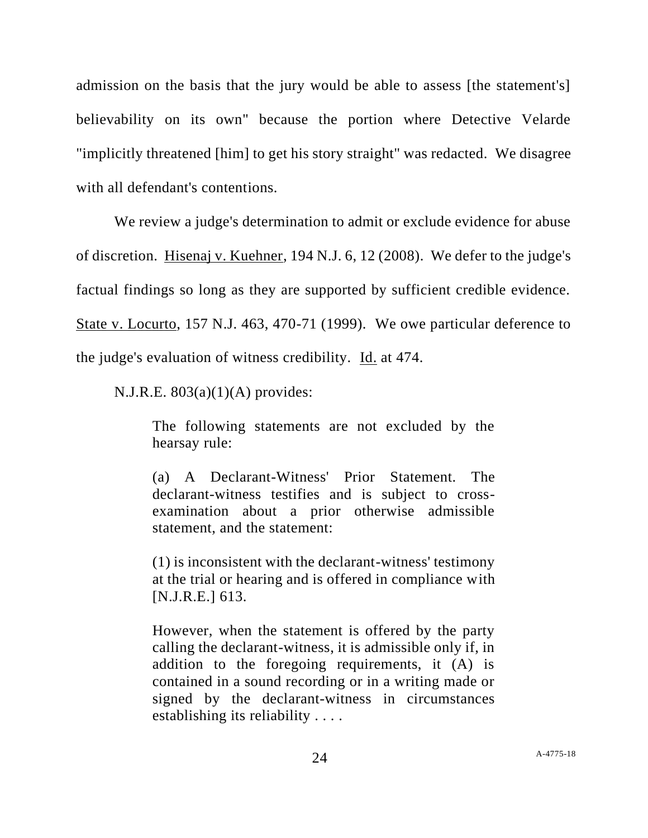admission on the basis that the jury would be able to assess [the statement's] believability on its own" because the portion where Detective Velarde "implicitly threatened [him] to get his story straight" was redacted. We disagree with all defendant's contentions.

We review a judge's determination to admit or exclude evidence for abuse of discretion. Hisenaj v. Kuehner, 194 N.J. 6, 12 (2008). We defer to the judge's factual findings so long as they are supported by sufficient credible evidence. State v. Locurto, 157 N.J. 463, 470-71 (1999). We owe particular deference to the judge's evaluation of witness credibility. Id. at 474.

N.J.R.E.  $803(a)(1)(A)$  provides:

The following statements are not excluded by the hearsay rule:

(a) A Declarant-Witness' Prior Statement. The declarant-witness testifies and is subject to crossexamination about a prior otherwise admissible statement, and the statement:

(1) is inconsistent with the declarant-witness' testimony at the trial or hearing and is offered in compliance with [N.J.R.E.] 613.

However, when the statement is offered by the party calling the declarant-witness, it is admissible only if, in addition to the foregoing requirements, it (A) is contained in a sound recording or in a writing made or signed by the declarant-witness in circumstances establishing its reliability . . . .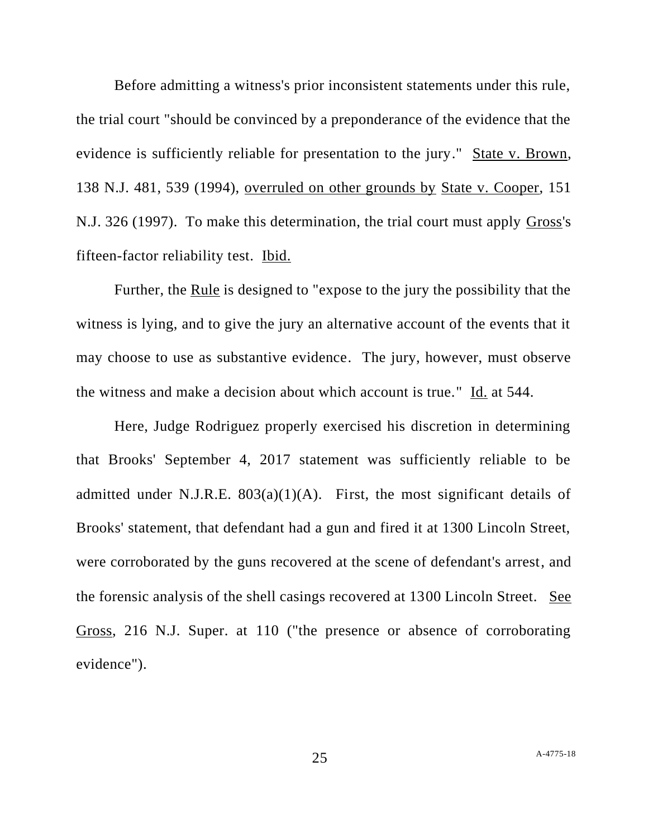Before admitting a witness's prior inconsistent statements under this rule, the trial court "should be convinced by a preponderance of the evidence that the evidence is sufficiently reliable for presentation to the jury." State v. Brown, 138 N.J. 481, 539 (1994), overruled on other grounds by State v. Cooper, 151 N.J. 326 (1997). To make this determination, the trial court must apply Gross's fifteen-factor reliability test. Ibid.

Further, the Rule is designed to "expose to the jury the possibility that the witness is lying, and to give the jury an alternative account of the events that it may choose to use as substantive evidence. The jury, however, must observe the witness and make a decision about which account is true." Id. at 544.

Here, Judge Rodriguez properly exercised his discretion in determining that Brooks' September 4, 2017 statement was sufficiently reliable to be admitted under N.J.R.E.  $803(a)(1)(A)$ . First, the most significant details of Brooks' statement, that defendant had a gun and fired it at 1300 Lincoln Street, were corroborated by the guns recovered at the scene of defendant's arrest, and the forensic analysis of the shell casings recovered at 1300 Lincoln Street. See Gross, 216 N.J. Super. at 110 ("the presence or absence of corroborating evidence").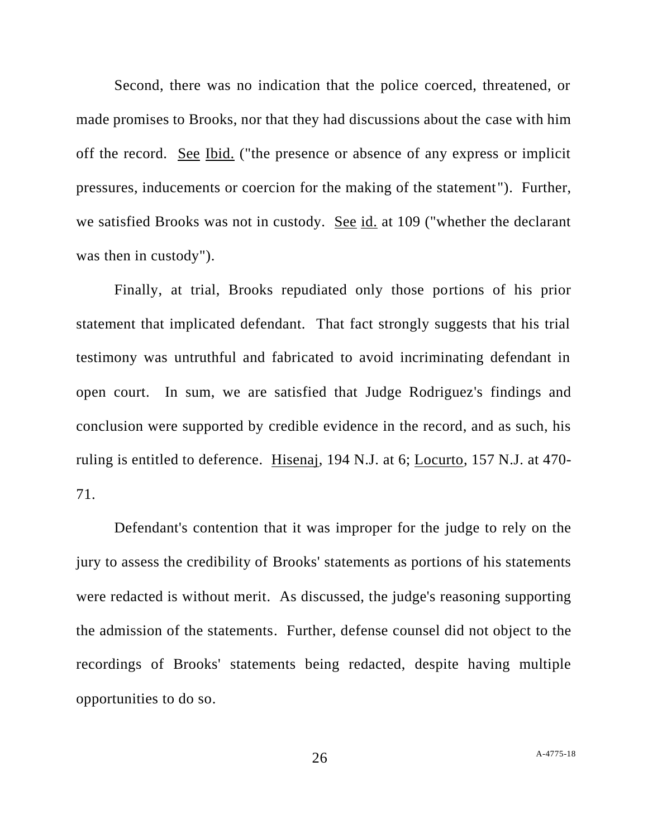Second, there was no indication that the police coerced, threatened, or made promises to Brooks, nor that they had discussions about the case with him off the record. See Ibid. ("the presence or absence of any express or implicit pressures, inducements or coercion for the making of the statement"). Further, we satisfied Brooks was not in custody. See id. at 109 ("whether the declarant was then in custody").

Finally, at trial, Brooks repudiated only those portions of his prior statement that implicated defendant. That fact strongly suggests that his trial testimony was untruthful and fabricated to avoid incriminating defendant in open court. In sum, we are satisfied that Judge Rodriguez's findings and conclusion were supported by credible evidence in the record, and as such, his ruling is entitled to deference. Hisenaj, 194 N.J. at 6; Locurto, 157 N.J. at 470- 71.

Defendant's contention that it was improper for the judge to rely on the jury to assess the credibility of Brooks' statements as portions of his statements were redacted is without merit. As discussed, the judge's reasoning supporting the admission of the statements. Further, defense counsel did not object to the recordings of Brooks' statements being redacted, despite having multiple opportunities to do so.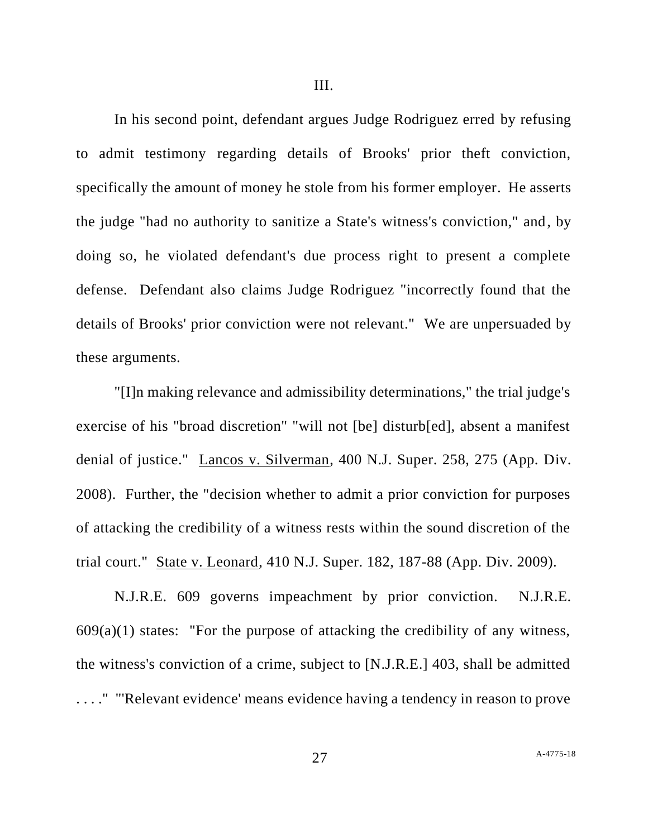In his second point, defendant argues Judge Rodriguez erred by refusing to admit testimony regarding details of Brooks' prior theft conviction, specifically the amount of money he stole from his former employer. He asserts the judge "had no authority to sanitize a State's witness's conviction," and, by doing so, he violated defendant's due process right to present a complete defense. Defendant also claims Judge Rodriguez "incorrectly found that the details of Brooks' prior conviction were not relevant." We are unpersuaded by these arguments.

"[I]n making relevance and admissibility determinations," the trial judge's exercise of his "broad discretion" "will not [be] disturb[ed], absent a manifest denial of justice." Lancos v. Silverman, 400 N.J. Super. 258, 275 (App. Div. 2008). Further, the "decision whether to admit a prior conviction for purposes of attacking the credibility of a witness rests within the sound discretion of the trial court." State v. Leonard, 410 N.J. Super. 182, 187-88 (App. Div. 2009).

N.J.R.E. 609 governs impeachment by prior conviction. N.J.R.E.  $609(a)(1)$  states: "For the purpose of attacking the credibility of any witness, the witness's conviction of a crime, subject to [N.J.R.E.] 403, shall be admitted . . . ." "'Relevant evidence' means evidence having a tendency in reason to prove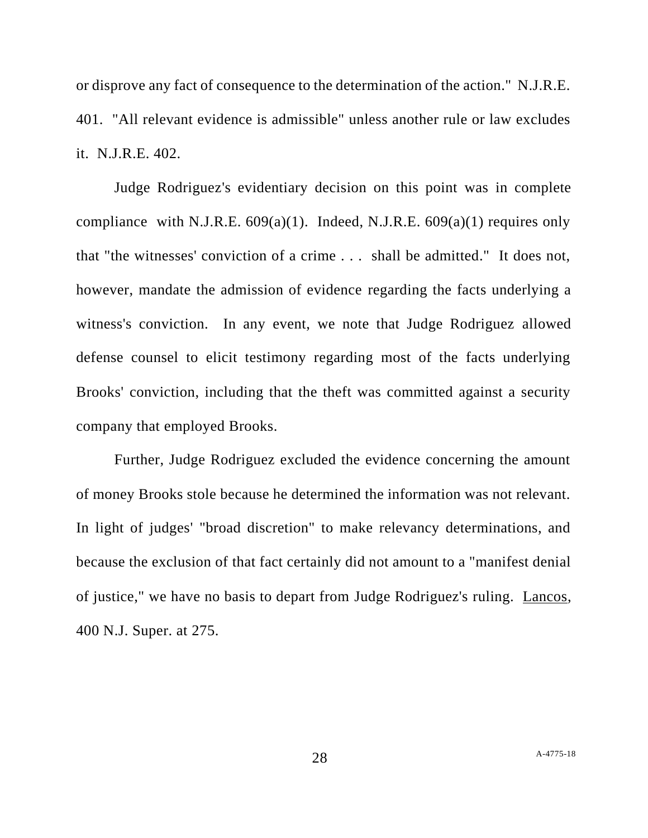or disprove any fact of consequence to the determination of the action." N.J.R.E. 401. "All relevant evidence is admissible" unless another rule or law excludes it. N.J.R.E. 402.

Judge Rodriguez's evidentiary decision on this point was in complete compliance with N.J.R.E.  $609(a)(1)$ . Indeed, N.J.R.E.  $609(a)(1)$  requires only that "the witnesses' conviction of a crime . . . shall be admitted." It does not, however, mandate the admission of evidence regarding the facts underlying a witness's conviction. In any event, we note that Judge Rodriguez allowed defense counsel to elicit testimony regarding most of the facts underlying Brooks' conviction, including that the theft was committed against a security company that employed Brooks.

Further, Judge Rodriguez excluded the evidence concerning the amount of money Brooks stole because he determined the information was not relevant. In light of judges' "broad discretion" to make relevancy determinations, and because the exclusion of that fact certainly did not amount to a "manifest denial of justice," we have no basis to depart from Judge Rodriguez's ruling. Lancos, 400 N.J. Super. at 275.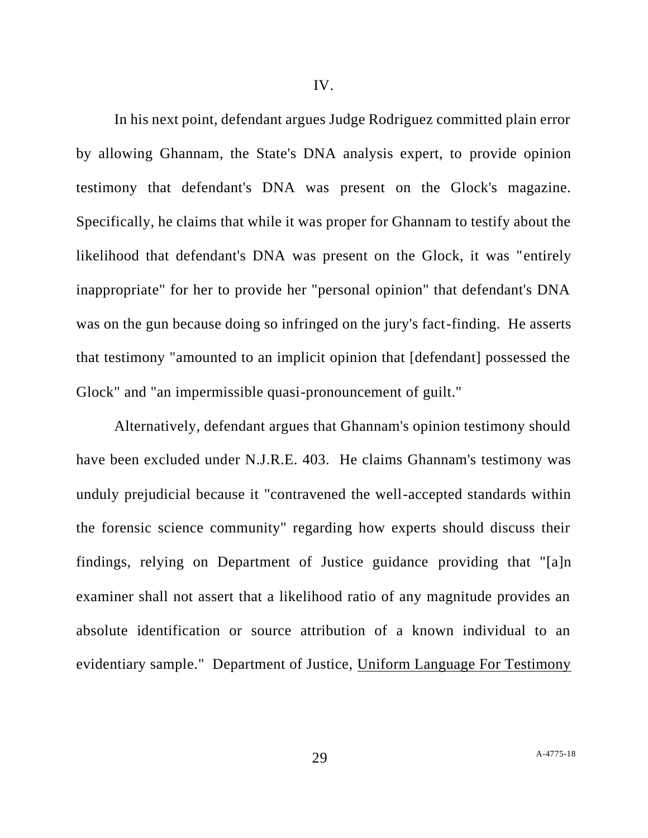IV.

In his next point, defendant argues Judge Rodriguez committed plain error by allowing Ghannam, the State's DNA analysis expert, to provide opinion testimony that defendant's DNA was present on the Glock's magazine. Specifically, he claims that while it was proper for Ghannam to testify about the likelihood that defendant's DNA was present on the Glock, it was "entirely inappropriate" for her to provide her "personal opinion" that defendant's DNA was on the gun because doing so infringed on the jury's fact-finding. He asserts that testimony "amounted to an implicit opinion that [defendant] possessed the Glock" and "an impermissible quasi-pronouncement of guilt."

Alternatively, defendant argues that Ghannam's opinion testimony should have been excluded under N.J.R.E. 403. He claims Ghannam's testimony was unduly prejudicial because it "contravened the well-accepted standards within the forensic science community" regarding how experts should discuss their findings, relying on Department of Justice guidance providing that "[a]n examiner shall not assert that a likelihood ratio of any magnitude provides an absolute identification or source attribution of a known individual to an evidentiary sample." Department of Justice, Uniform Language For Testimony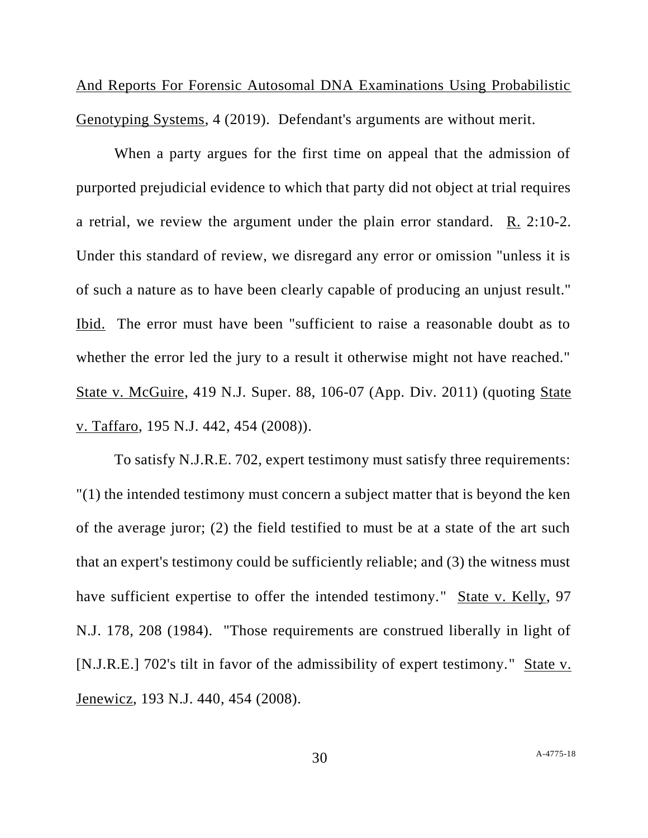And Reports For Forensic Autosomal DNA Examinations Using Probabilistic Genotyping Systems, 4 (2019). Defendant's arguments are without merit.

When a party argues for the first time on appeal that the admission of purported prejudicial evidence to which that party did not object at trial requires a retrial, we review the argument under the plain error standard. R. 2:10-2. Under this standard of review, we disregard any error or omission "unless it is of such a nature as to have been clearly capable of producing an unjust result." Ibid. The error must have been "sufficient to raise a reasonable doubt as to whether the error led the jury to a result it otherwise might not have reached." State v. McGuire, 419 N.J. Super. 88, 106-07 (App. Div. 2011) (quoting State v. Taffaro, 195 N.J. 442, 454 (2008)).

To satisfy N.J.R.E. 702, expert testimony must satisfy three requirements: "(1) the intended testimony must concern a subject matter that is beyond the ken of the average juror; (2) the field testified to must be at a state of the art such that an expert's testimony could be sufficiently reliable; and (3) the witness must have sufficient expertise to offer the intended testimony." State v. Kelly, 97 N.J. 178, 208 (1984). "Those requirements are construed liberally in light of [N.J.R.E.] 702's tilt in favor of the admissibility of expert testimony." State v. Jenewicz, 193 N.J. 440, 454 (2008).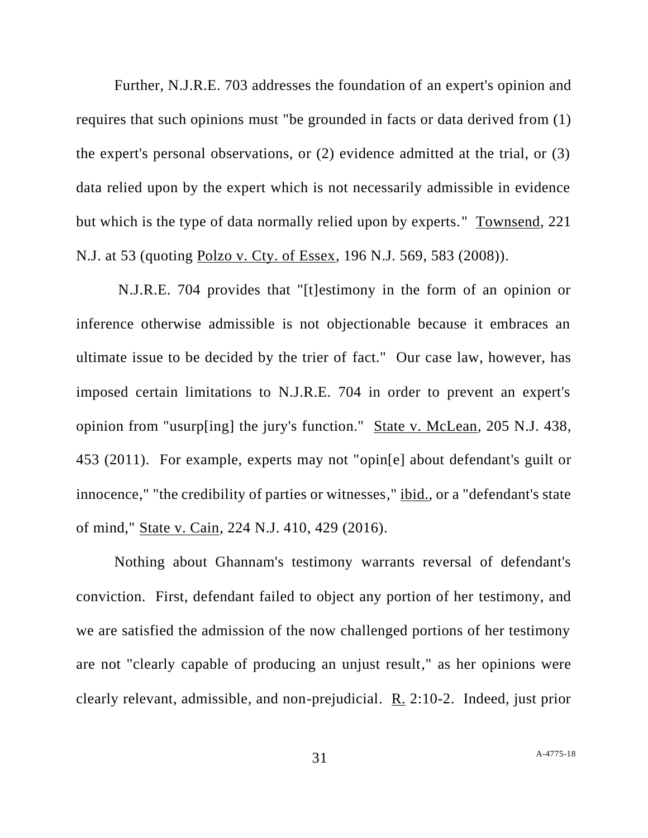Further, N.J.R.E. 703 addresses the foundation of an expert's opinion and requires that such opinions must "be grounded in facts or data derived from (1) the expert's personal observations, or (2) evidence admitted at the trial, or (3) data relied upon by the expert which is not necessarily admissible in evidence but which is the type of data normally relied upon by experts." Townsend, 221 N.J. at 53 (quoting Polzo v. Cty. of Essex, 196 N.J. 569, 583 (2008)).

N.J.R.E. 704 provides that "[t]estimony in the form of an opinion or inference otherwise admissible is not objectionable because it embraces an ultimate issue to be decided by the trier of fact." Our case law, however, has imposed certain limitations to N.J.R.E. 704 in order to prevent an expert's opinion from "usurp[ing] the jury's function." State v. McLean, 205 N.J. 438, 453 (2011). For example, experts may not "opin[e] about defendant's guilt or innocence," "the credibility of parties or witnesses," ibid., or a "defendant's state of mind," State v. Cain, 224 N.J. 410, 429 (2016).

Nothing about Ghannam's testimony warrants reversal of defendant's conviction. First, defendant failed to object any portion of her testimony, and we are satisfied the admission of the now challenged portions of her testimony are not "clearly capable of producing an unjust result," as her opinions were clearly relevant, admissible, and non-prejudicial. R. 2:10-2. Indeed, just prior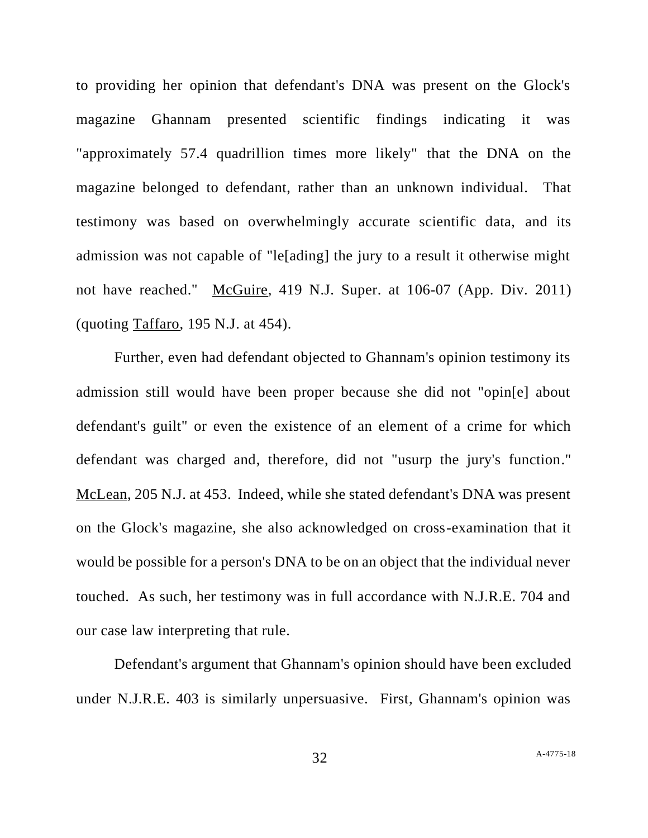to providing her opinion that defendant's DNA was present on the Glock's magazine Ghannam presented scientific findings indicating it was "approximately 57.4 quadrillion times more likely" that the DNA on the magazine belonged to defendant, rather than an unknown individual. That testimony was based on overwhelmingly accurate scientific data, and its admission was not capable of "le[ading] the jury to a result it otherwise might not have reached." McGuire, 419 N.J. Super. at 106-07 (App. Div. 2011) (quoting Taffaro, 195 N.J. at 454).

Further, even had defendant objected to Ghannam's opinion testimony its admission still would have been proper because she did not "opin[e] about defendant's guilt" or even the existence of an element of a crime for which defendant was charged and, therefore, did not "usurp the jury's function." McLean, 205 N.J. at 453. Indeed, while she stated defendant's DNA was present on the Glock's magazine, she also acknowledged on cross-examination that it would be possible for a person's DNA to be on an object that the individual never touched. As such, her testimony was in full accordance with N.J.R.E. 704 and our case law interpreting that rule.

Defendant's argument that Ghannam's opinion should have been excluded under N.J.R.E. 403 is similarly unpersuasive. First, Ghannam's opinion was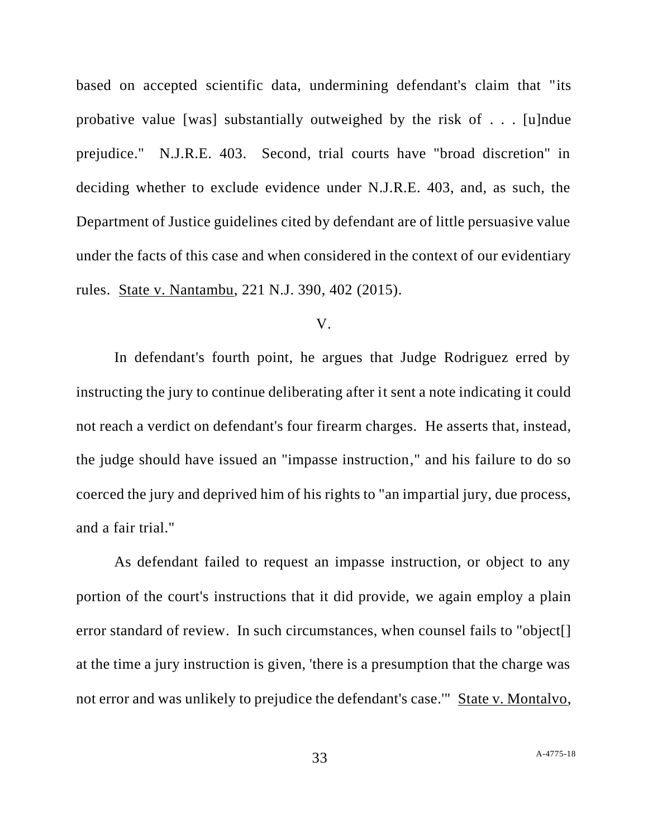based on accepted scientific data, undermining defendant's claim that "its probative value [was] substantially outweighed by the risk of . . . [u]ndue prejudice." N.J.R.E. 403. Second, trial courts have "broad discretion" in deciding whether to exclude evidence under N.J.R.E. 403, and, as such, the Department of Justice guidelines cited by defendant are of little persuasive value under the facts of this case and when considered in the context of our evidentiary rules. State v. Nantambu, 221 N.J. 390, 402 (2015).

#### V.

In defendant's fourth point, he argues that Judge Rodriguez erred by instructing the jury to continue deliberating after it sent a note indicating it could not reach a verdict on defendant's four firearm charges. He asserts that, instead, the judge should have issued an "impasse instruction," and his failure to do so coerced the jury and deprived him of his rights to "an impartial jury, due process, and a fair trial."

As defendant failed to request an impasse instruction, or object to any portion of the court's instructions that it did provide, we again employ a plain error standard of review. In such circumstances, when counsel fails to "object. at the time a jury instruction is given, 'there is a presumption that the charge was not error and was unlikely to prejudice the defendant's case.'" State v. Montalvo,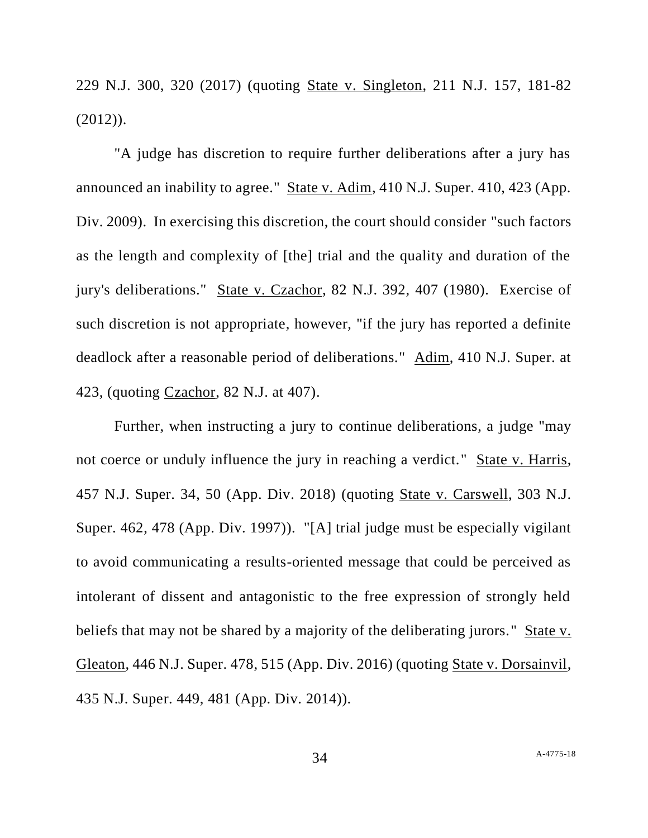229 N.J. 300, 320 (2017) (quoting State v. Singleton, 211 N.J. 157, 181-82  $(2012)$ ).

"A judge has discretion to require further deliberations after a jury has announced an inability to agree." State v. Adim, 410 N.J. Super. 410, 423 (App. Div. 2009). In exercising this discretion, the court should consider "such factors as the length and complexity of [the] trial and the quality and duration of the jury's deliberations." State v. Czachor, 82 N.J. 392, 407 (1980). Exercise of such discretion is not appropriate, however, "if the jury has reported a definite deadlock after a reasonable period of deliberations." Adim, 410 N.J. Super. at 423, (quoting Czachor, 82 N.J. at 407).

Further, when instructing a jury to continue deliberations, a judge "may not coerce or unduly influence the jury in reaching a verdict." State v. Harris, 457 N.J. Super. 34, 50 (App. Div. 2018) (quoting State v. Carswell, 303 N.J. Super. 462, 478 (App. Div. 1997)). "[A] trial judge must be especially vigilant to avoid communicating a results-oriented message that could be perceived as intolerant of dissent and antagonistic to the free expression of strongly held beliefs that may not be shared by a majority of the deliberating jurors." State v. Gleaton, 446 N.J. Super. 478, 515 (App. Div. 2016) (quoting State v. Dorsainvil, 435 N.J. Super. 449, 481 (App. Div. 2014)).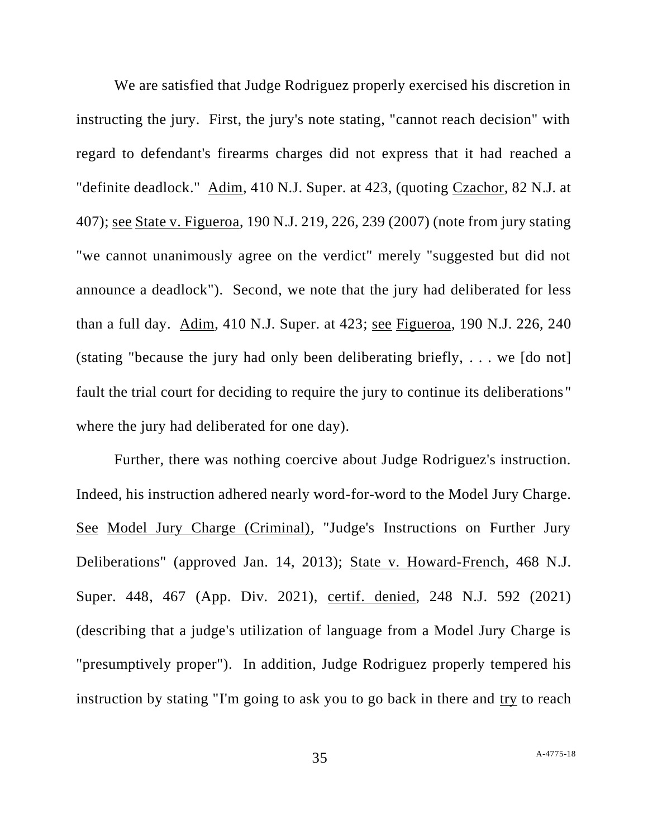We are satisfied that Judge Rodriguez properly exercised his discretion in instructing the jury. First, the jury's note stating, "cannot reach decision" with regard to defendant's firearms charges did not express that it had reached a "definite deadlock." Adim, 410 N.J. Super. at 423, (quoting Czachor, 82 N.J. at 407); see State v. Figueroa, 190 N.J. 219, 226, 239 (2007) (note from jury stating "we cannot unanimously agree on the verdict" merely "suggested but did not announce a deadlock"). Second, we note that the jury had deliberated for less than a full day. Adim, 410 N.J. Super. at 423; see Figueroa, 190 N.J. 226, 240 (stating "because the jury had only been deliberating briefly, . . . we [do not] fault the trial court for deciding to require the jury to continue its deliberations " where the jury had deliberated for one day).

Further, there was nothing coercive about Judge Rodriguez's instruction. Indeed, his instruction adhered nearly word-for-word to the Model Jury Charge. See Model Jury Charge (Criminal), "Judge's Instructions on Further Jury Deliberations" (approved Jan. 14, 2013); State v. Howard-French, 468 N.J. Super. 448, 467 (App. Div. 2021), certif. denied, 248 N.J. 592 (2021) (describing that a judge's utilization of language from a Model Jury Charge is "presumptively proper"). In addition, Judge Rodriguez properly tempered his instruction by stating "I'm going to ask you to go back in there and try to reach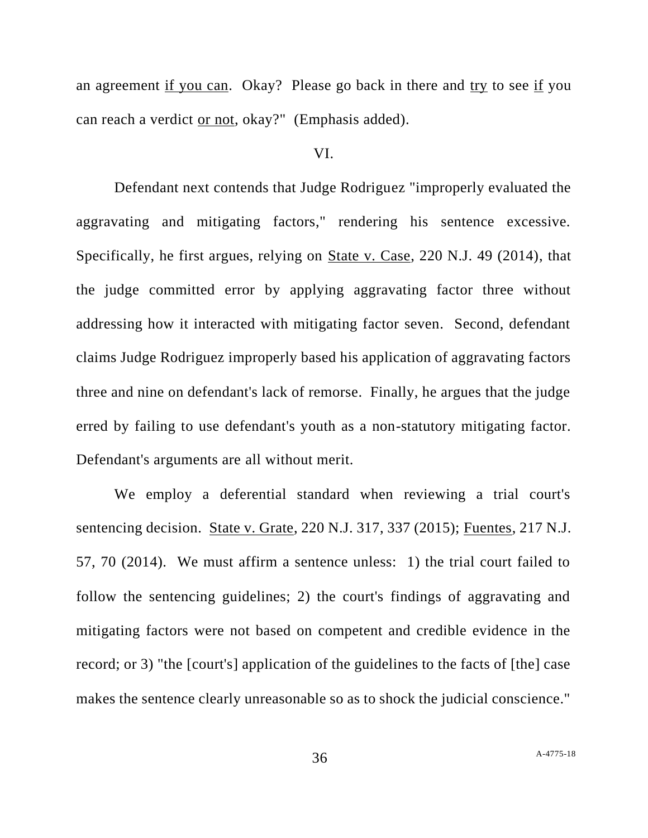an agreement if you can. Okay? Please go back in there and try to see if you can reach a verdict or not, okay?" (Emphasis added).

### VI.

Defendant next contends that Judge Rodriguez "improperly evaluated the aggravating and mitigating factors," rendering his sentence excessive. Specifically, he first argues, relying on State v. Case, 220 N.J. 49 (2014), that the judge committed error by applying aggravating factor three without addressing how it interacted with mitigating factor seven. Second, defendant claims Judge Rodriguez improperly based his application of aggravating factors three and nine on defendant's lack of remorse. Finally, he argues that the judge erred by failing to use defendant's youth as a non-statutory mitigating factor. Defendant's arguments are all without merit.

We employ a deferential standard when reviewing a trial court's sentencing decision. State v. Grate, 220 N.J. 317, 337 (2015); Fuentes, 217 N.J. 57, 70 (2014). We must affirm a sentence unless: 1) the trial court failed to follow the sentencing guidelines; 2) the court's findings of aggravating and mitigating factors were not based on competent and credible evidence in the record; or 3) "the [court's] application of the guidelines to the facts of [the] case makes the sentence clearly unreasonable so as to shock the judicial conscience."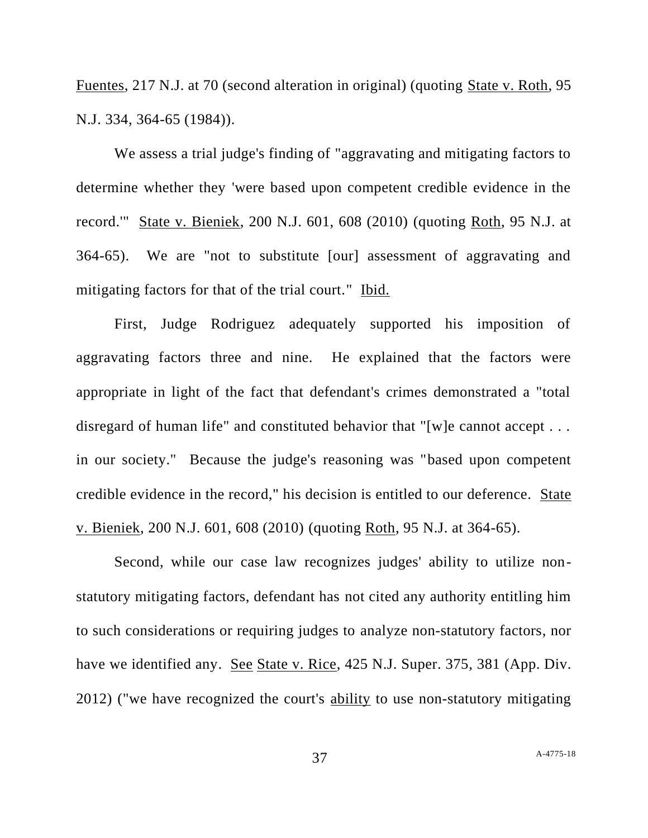Fuentes, 217 N.J. at 70 (second alteration in original) (quoting State v. Roth, 95 N.J. 334, 364-65 (1984)).

We assess a trial judge's finding of "aggravating and mitigating factors to determine whether they 'were based upon competent credible evidence in the record.'" State v. Bieniek, 200 N.J. 601, 608 (2010) (quoting Roth, 95 N.J. at 364-65). We are "not to substitute [our] assessment of aggravating and mitigating factors for that of the trial court." Ibid.

First, Judge Rodriguez adequately supported his imposition of aggravating factors three and nine. He explained that the factors were appropriate in light of the fact that defendant's crimes demonstrated a "total disregard of human life" and constituted behavior that "[w]e cannot accept . . . in our society." Because the judge's reasoning was "based upon competent credible evidence in the record," his decision is entitled to our deference. State v. Bieniek, 200 N.J. 601, 608 (2010) (quoting Roth, 95 N.J. at 364-65).

Second, while our case law recognizes judges' ability to utilize nonstatutory mitigating factors, defendant has not cited any authority entitling him to such considerations or requiring judges to analyze non-statutory factors, nor have we identified any. See State v. Rice, 425 N.J. Super. 375, 381 (App. Div. 2012) ("we have recognized the court's ability to use non-statutory mitigating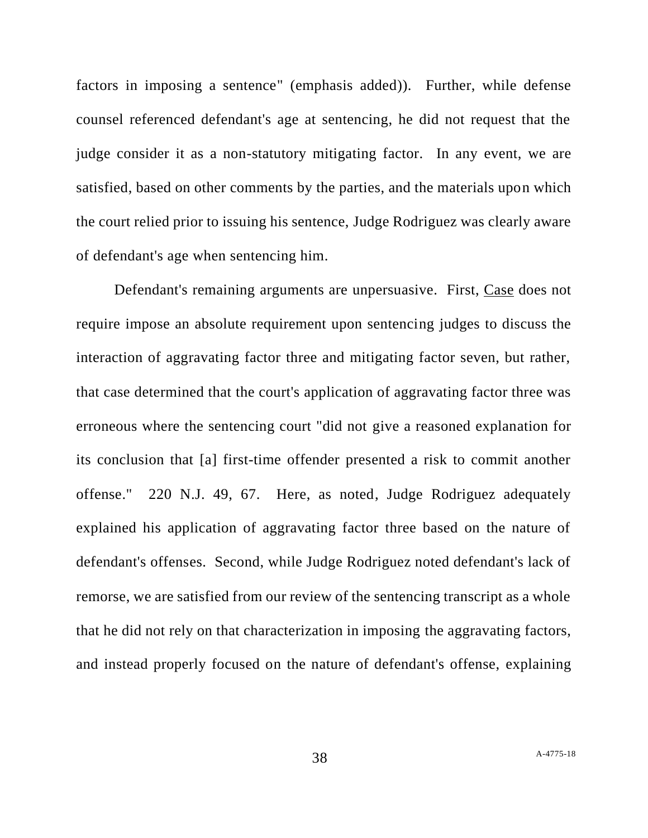factors in imposing a sentence" (emphasis added)). Further, while defense counsel referenced defendant's age at sentencing, he did not request that the judge consider it as a non-statutory mitigating factor. In any event, we are satisfied, based on other comments by the parties, and the materials upon which the court relied prior to issuing his sentence, Judge Rodriguez was clearly aware of defendant's age when sentencing him.

Defendant's remaining arguments are unpersuasive. First, Case does not require impose an absolute requirement upon sentencing judges to discuss the interaction of aggravating factor three and mitigating factor seven, but rather, that case determined that the court's application of aggravating factor three was erroneous where the sentencing court "did not give a reasoned explanation for its conclusion that [a] first-time offender presented a risk to commit another offense." 220 N.J. 49, 67. Here, as noted, Judge Rodriguez adequately explained his application of aggravating factor three based on the nature of defendant's offenses. Second, while Judge Rodriguez noted defendant's lack of remorse, we are satisfied from our review of the sentencing transcript as a whole that he did not rely on that characterization in imposing the aggravating factors, and instead properly focused on the nature of defendant's offense, explaining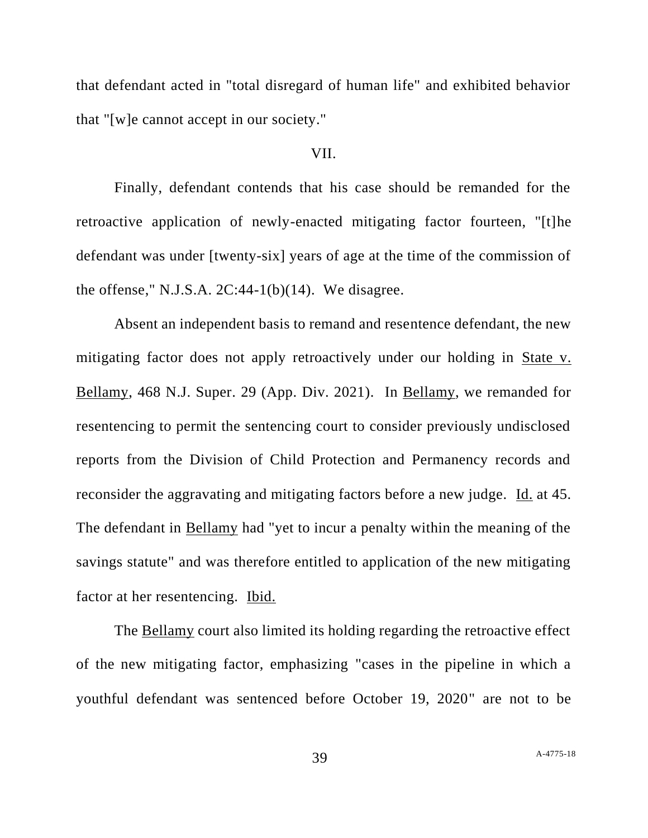that defendant acted in "total disregard of human life" and exhibited behavior that "[w]e cannot accept in our society."

### VII.

Finally, defendant contends that his case should be remanded for the retroactive application of newly-enacted mitigating factor fourteen, "[t]he defendant was under [twenty-six] years of age at the time of the commission of the offense," N.J.S.A.  $2C:44-1(b)(14)$ . We disagree.

Absent an independent basis to remand and resentence defendant, the new mitigating factor does not apply retroactively under our holding in State v. Bellamy, 468 N.J. Super. 29 (App. Div. 2021). In Bellamy, we remanded for resentencing to permit the sentencing court to consider previously undisclosed reports from the Division of Child Protection and Permanency records and reconsider the aggravating and mitigating factors before a new judge. Id. at 45. The defendant in Bellamy had "yet to incur a penalty within the meaning of the savings statute" and was therefore entitled to application of the new mitigating factor at her resentencing. Ibid.

The Bellamy court also limited its holding regarding the retroactive effect of the new mitigating factor, emphasizing "cases in the pipeline in which a youthful defendant was sentenced before October 19, 2020" are not to be